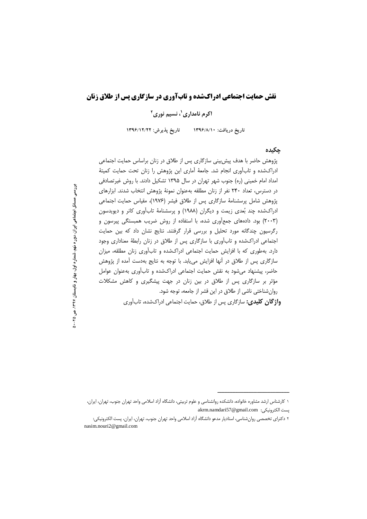# **نقش حمایت اجتماعی ادراکشده و تابآوری در سازگاری پس از طلاق زنان**

اکرم نامداری<sup>י</sup>، نسیم نوری<sup>۲</sup>

تاریخ دریافت: **۱۳۹۶/۸/۱۰** تاریخ پذیرش: ۱۳۹۶/۱۲/۲۲

#### جکیده

پژوهش حاضر با هدف پیش بینی سازگاری پس از طلاق در زنان براساس حمایت اجتماعی ادراکشده و تابآوری انجام شد. جامعهٔ آماری این پژوهش را زنان تحت حمایت کمیتهٔ امداد امام خمینی (ره) جنوب شهر تهران در سال ۱۳۹۵ تشکیل دادند. با روش غیرتصادفی در دسترس، تعداد ۲۴۰ نفر از زنان مطلقه بهعنوان نمونهٔ پژوهش انتخاب شدند. ابزارهای پژوهش شامل پرسشنامهٔ سازگاری پس از طلاق فیشر (۱۹۷۶)، مقیاس حمایت اجتماعی ادراکشده چند بُعدی زیمت و دیگران (۱۹۸۸) و پرسشنامهٔ تابآوری کانر و دیویدسون (۲۰۰۳) بود. دادههای جمعآوری شده، با استفاده از روش ضریب همبستگی پیرسون و رگرسیون چندگانه مورد تحلیل و بررسی قرار گرفتند. نتایج نشان داد که بین حمایت اجتماعی ادراکشده و تابآوری با سازگاری پس از طلاق در زنان رابطهٔ معناداری وجود دارد. بهطوری که با افزایش حمایت اجتماعی ادراکشده و تابآوری زنان مطلقه، میزان سازگاری پس از طلاق در آنها افزایش مییابد. با توجه به نتایج بهدست آمده از پژوهش حاضر، پیشنهاد میشود به نقش حمایت اجتماعی ادراکشده و تابآوری بهعنوان عوامل مؤثر بر سازگاری پس از طلاق در بین زنان در جهت پیشگیری و کاهش مشکلات روانشناختی ناشی از طلاق در این قشر از جامعه، توجه شود. **واژگان کلیدی:** سازگاری پس از طلاق، حمایت اجتماعی ادراکشده، تابآوری

ــــــــــــــــــــ ــــــــــــــــــــــــــ ـــــــــــــــــــــــــــــــ ــــــــــــــــــــــــــ

اجتماعی ایران بررسی مسائل اجتماعی ایران، دور ه نهم، شماره اول، بهار و تابستان اول، بهار و تنابسه ، دور ه <del>نهم</del>، شمار ه ۱۳۹۷، ص **25 -50**

١ كارشناس ارشد مشاوره خانواده، دانشكده روانشناسي و علوم تربيتي، دانشگاه آزاد اسلامي واحد تهران جنوب، تهران، ايران، پست الكترونيكى: akrm.namdari57@gmail.com

٢ دكتراى تخصصي روانشناسي، استاديار مدعو دانشگاه أزاد اسلامي واحد تهران جنوب، تهران، ايران، پست الكترونيكي: nasim.nouri2@gmail.com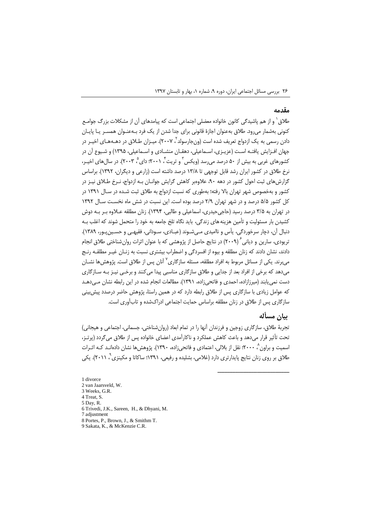#### مقدمه

طلاق ٰ و از هم پاشیدگی کانون خانواده معضلی اجتماعی است که پیامدهای آن از مشکلات بزرگ جوامـع کنونی بهشمار می رود. طلاق بهعنوان اجازهٔ قانونی برای جدا شدن از یک فرد بـهعنـوان همســر یـا پایـان دادن رسمی به یک ازدواج تعریف شده است (ونجارسولد<sup>۲</sup> ، ۲۰۰۷). میـزان طــلاق در دهــهـهـای اخیــر در جهان افـزایش یافتـه اسـت (عزیـزی، اسـماعیلی، دهقـان منشـادی و اسـماعیلی، ۱۳۹۵) و شـیوع آن در کشورهای غربی به بیش از ۵۰ درصد می رسد (ویکس<sup>۳</sup> و تریت ٔ، ۲۰۰۱؛ دای <sup>۵</sup> ۲۰۰۳). در سال های اخیـر، نرخ طلاق در کشور ایران رشد قابل توجهی تا ۱۳/۸ درصد داشته است (زارعی و دیگران، ۱۳۹۲). براساس گزارش های ثبت احول کشور در دهه ۹۰، علاوهبر کاهش گرایش جوانـان بـه ازدواج، نـرخ طـلاق نیـز در کشور و بهخصوص شهر تهران بالا رفته؛ بهطوری که نسبت ازدواج به طلاق ثبت شـده در سـال ۱۳۹۱ در کل کشور ۵/۵ درصد و در شهر تهران ۲/۹ درصد بوده است. این نسبت در شش ماه نخسـت سـال ۱۳۹۲ در تهران به ۳/۵ درصد رسید (حاجی حیدری، اسماعیلی و طالبی، ۱۳۹۴). زنان مطلقه عـلاوه بـر بـه دوش کشیدن بار مسئولیت و تأمین هزینه های زندگی، باید نگاه تلخ جامعه به خود را متحمل شوند که اغلب بـه دنبال آن، دچار سرخوردگي، پأس و نااميدي مـي شـوند (عبـادي، سـوداني، فقيهـي و حسـين يـور، ١٣٨٩). تریودی، سارین و دیانی ٔ (۲۰۰۹) در نتایج حاصل از پژوهشی که با عنوان اثرات روان شناختی طلاق انجام دادند، نشان دادند که زنان مطلقه و بیوه از افسردگی و اضطراب بیشتری نسبت به زنـان غیـر مطلقـه رنـج می برند. یکی از مسائل مربوط به افراد مطلقه، مسئله سازگاری<sup>۷</sup> آنان پس از طلاق است. پژوهش ها نشــان میدهد که برخی از افراد بعد از جدایی و طلاق سازگاری مناسبی پیدا میکنند و برخـی نیـز بـه سـازگاری دست نمی یابند (میرزازاده، احمدی و فاتحی;اده، ۱۳۹۱). مطالعات انجام شده در این رابطه نشان مے،دهـد که عوامل زیادی با سازگاری پس از طلاق رابطه دارد که در همین راستا، پژوهش حاضر درصدد پیش بینی سازگاری پس از طلاق در زنان مطلقه براساس حمایت اجتماعی ادراکشده و تابآوری است.

## يبان مسأله

تجربهٔ طلاق، سازگاری زوجین و فرزندان آنها را در تمام ابعاد (روانشناختی، جسمانی، اجتماعی و هیجانی) تحت تأثیر قرار می دهد و باعث کاهش عملکرد و ناکارآمدی اعضای خانواده پس از طلاق می گردد (پرتـز، اسمیت و براون ٬ ۲۰۰۰٬ نقل از بلالی، اعتمادی و فاتحی;اده، ۱۳۹۰). پژوهش ها نشان دادهانـد کـه اثـرات طلاق بر روی زنان نتایج پایدارتری دارد (غلامی، بشلیده و رفیعی، ۱۳۹۱؛ ساکاتا و مکینزی `، ۲۰۱۱). یکی

1 divorce 2 van Jaarsveld, W. 3 Weeks, G.R. 4 Treat S. 5 Day, R. 6 Trivedi, J.K., Sareen, H., & Dhyani, M. 7 adjustment 8 Portes, P., Brown, J., & Smithm T. 9 Sakata, K., & McKenzie C.R.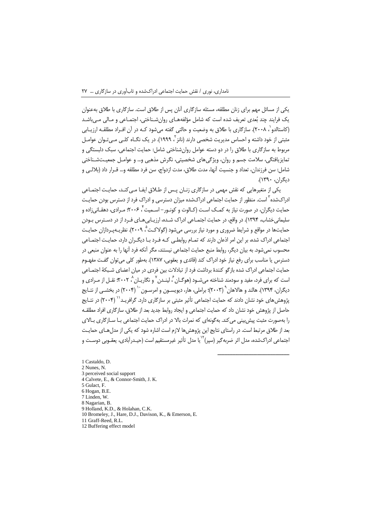یکی از مسائل مهم برای زنان مطلقه، مسئله سازگاری آنان پس از طلاق است. سازگاری با طلاق بهعنوان یک فرایند چند بُعدی تعریف شده است که شامل مؤلفههـای روان شـناختی، اجتمـاعی و مـالی مـی باشـد (کاستالدو`، ۲۰۰۸). سازگاری با طلاق به وضعیت و حالتی گفته میشود کـه در آن افـراد مطلقـه ارزیـابی مثبتی از خود داشته و احساس مدیریت شخصی دارند (نانز <sup>۲</sup>، ۱۹۹۹). در یک نگــاه کلــی مــی تـوان عوامــل مربوط به سازگاری با طلاق را در دو دسته عوامل روان شناختی شامل: حمایت اجتماعی، سبک دلبستگی و تمايزيافتگي، سلامت جسم و روان، ويژگي هاي شخصيتي، نگرش مذهبي و… و عوامـل جمعيــتشـناختي شامل: سن فرزندان، تعداد و جنسیت آنها، مدت طلاق، مدت ازدواج، سن فرد مطلقه و… قــرار داد (بلالــي و ديگران، ١٣٩٠).

یکی از متغیرهایی که نقش مهمی در سازگاری زنـان پـس از طـلاق ایفـا مـیکنـد، حمایـت اجتمـاعی ادراکشده<sup>۳</sup> است. منظور از حمایت اجتماعی ادراکشده میزان دسترسی و ادراک فرد از دسترس بودن حمایـت حمایت دیگران، در صورت نیاز به کمک اسـت (کـالوت و کونـور– اسـمیت ٌ، ۲۰۰۶؛ مـرادی، دهقـانی;اده و سلیمانی خشاب، ۱۳۹۴). در واقع، در جمایت احتمـاعی ادراک شـده، ارزبـایی هـای فـرد از در دسـترس بـودن حمایتها در مواقع و شرایط ضروری و مورد نیاز بررسی میشود (گولاکت<sup>۹</sup>، ۲۰۰۹). نظریـهیـردازان حمایـت اجتماعی ادراک شده، بر این امر اذعان دارند که تمـام روابطـی کـه فـرد بـا دیگـران دارد، حمایـت اجتمـاعی محسوب نمیشود. به بیان دیگر، روابط منبع حمایت اجتماعی نیستند، مگر آنکه فرد آنها را به عنوان منبعی در دسترس یا مناسب برای رفع نیاز خود ادراک کند (قائدی و یعقوبی، ۱۳۸۷). بهطور کلی می توان گفت مفهـوم حمایت اجتماعی ادراک شده بازگو کنندهٔ برداشت فرد از تبادلات بین فردی در میان اعضای شـبکهٔ اجتمـاعی است که برای فرد، مفید و سودمند شناخته می *ش*ـود (هوگـان <sup>۶</sup> لینـدن <sup>۷</sup> و نگاریـان <sup>۸</sup> ۲۰۰۲؛ نقـل از مـرادی و دیگران، ۱۳۹۴). هالند و هالاهان (۲۰۰۳)؛ براملی، هار، دیویسـون و امرسـون <sup>۱٬</sup> (۲۰۰۴) در بخشـی از نتـایج یژوهش های خود نشان دادند که حمایت اجتماعی تأثیر مثبتی بر سازگاری دارد. گرافریـد<sup>\\</sup> (۲۰۰۴) در نتــایج حاصل از پژوهش خود نشان داد که حمایت اجتماعی و ایجاد روابط جدید بعد از طلاق، سازگاری افراد مطلقـه را بهصورت مثبت پیش بینی می کند. به گونهای که نمرات بالا در ادراک حمایت اجتماعی بـا سـاز گاری بـالای بعد از طلاق مرتبط است. در راستای نتایج این پژوهش ها لازم است اشاره شود که یکی از مدل هیای جمایت اجتماعي ادراکشده، مدل اثر ضربه گير (سير)<sup>۱۲</sup>يا مدل تأثير غيرمستقيم است (حيـدرآبادي، يعقـوبي دوسـت و

1 Castaldo, D 2 Nunes, N. 3 perceived social support 4 Calvete, E., & Connor-Smith, J. K. 5 Gulact, F. 6 Hogan, B.E 7 Linden, W. 8 Nagarian, B. 9 Holland, K.D., & Holahan, C.K. 10 Bromeley, J., Hare, D.J., Davison, K., & Emerson, E. 11 Graff-Reed, R.L. 12 Buffering effect model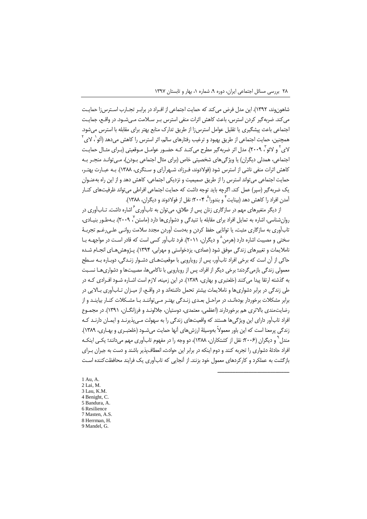شاهون وند، ۱۳۹۲). این مدل فرض می کند که حمایت اجتماعی از افـراد در برابـر تجـارب اسـترسi( حمایـت می کند. ضربه گیر کردن استرس، باعث کاهش اثرات منفی استرس بـر سـلامت مـی.شـود. در واقـع، جمایـت اجتماعی باعث پیشگیری یا تقلیل عوامل استرسiا از طریق تدارک منابع بهتر برای مقابله با استرس میشود. همچنین، حمایت اجتماعی از طریق بهبود و ترغیب رفتارهای سالم، اثر استرس را کاهش می دهد (آئو <sup>'</sup>، لای <sup>۲</sup> لای ٔ و لائو ٔ , ۲۰۰۹). مدل اثر ضربه گیر مطرح می کنـد کـه حضـور عوامـل مـوقعیتی (بـرای مثـال حمایـت اجتماعی، همدلی دیگران) یا ویژگی های شخصیتی خاص (برای مثال اجتماعی بـودن)، مـی توانـد منجـر بـه کاهش اثرات منفی ناشی از استرس شود (فولادوند، فـرزاد، شـهرآرای و سـنگری، ۱۳۸۸). بـه عبـارت بهتـر، حمایت اجتماعی می تواند استرس را از طریق صمیمیت و نزدیکی اجتماعی، کاهش دهد و از این راه بهعنـوان یک ضربهگیر (سپر) عمل کند. اگرچه باید توجه داشت که حمایت اجتماعی افراطی میتواند ظرفیتهای کنـار آمدن افراد را کاهش دهد (بینایت<sup>۴</sup> و بندورا<sup>م</sup> ۲۰۰۴؛ نقل از فولادوند و دیگران، ۱۳۸۸).

از دیگر متغیرهای مهم در سازگاری زنان پس از طلاق، می¤وان به تابآوری<sup>۶</sup> اشاره داشت. تــابآوری در روان شناسی، اشاره به تمایل افراد برای مقابله با تنبدگی و دشواری ها دارد (ماستن ۲۰۰۹). بـهطـور بنبـادی، تابآوری به سازگاری مثبت، یا توانایی حفظ کردن و بهدست آوردن مجدد سلامت روانبی علبی رغــم تجربـهٔ سختی و مصیت اشاره دارد (هرمن ٬ و دیگران، ۲۰۱۱). فرد تابآور کسی است که قادر اسـت در مواجهـه بـا ناملایمات و تغییرهای زندگی موفق شود (عمادی، پزدخواستی و مهرابی، ۱۳۹۴). پـژوهش هـای انجـام شـده حاکی از آن است که برخی افراد تابآور، پس از روپارویی با موقعیتهـای دشـوار زنـدگی، دوبـاره بـه سـطح معمولی زندگی بازمی گردند؛ برخی دیگر از افراد، پس از رویارویی با ناکامیها، مصیبتها و دشواریهـا نسـبت به گذشته ارتقا پیدا می کنند (خلعتبری و بهاری، ۱۳۸۹). در این زمینه، لازم است اشـاره شـود افـرادی کـه در طی زندگی در برابر دشواریها و ناملایمات بیشتر تحمل داشتهاند و در واقـع، از میـزان تـابآوری بـالایی در برابر مشکلات برخوردار بودهانـد، در مراحـل بعـدی زنـدگی بهتـر مـی تواننـد بـا مشـکلات کنـار بیاینـد و از رضایتمندی بالاتری هم برخوردارند (اعظمی، معتمدی، دوستیان، جلالونـد و فرزانگــان، ۱۳۹۱). در مجمـوع افراد تابآور دارای این ویژگیها هستند که واقعیتهای زندگی را به سهولت مـی،پذیرنـد و ایمـان دارنـد کـه زندگی پرمعنا است که این باور معمولاً بهوسیلهٔ ارزش های آنها حمایت می شـود (خلعتبـری و بهـاری، ۱۳۸۹). مندل ٌ و دیگران (۲۰۰۶؛ نقل از کشتکاران، ۱۳۸۸)، دو وجه را در مفهوم تابآوری مهم می دانند؛ یکـی اینکـه افراد حادثهٔ دشواری را تجربه کنند و دوم اینکه در برابر این حوادث، انعطاف پذیر باشند و دست به جبران بـرای بازگشت به عملکرد و کارکردهای معمول خود بزنند. از آنجایی که تابآوری یک فرایند محافظتکننده است

1 Au. A. 2 Lai, M. 3 Lau, K.M. 4 Benight C 5 Bandura, A. 6 Resilience 7 Masten, A.S. 8 Herrman, H. 9 Mandel, G.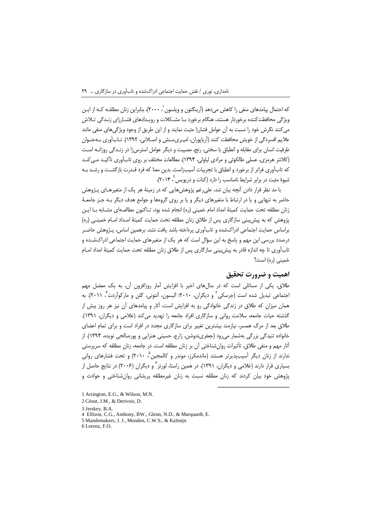که احتمال پیامدهای منفی را کاهش میدهد (اَرینگتون و ویلسون ۲۰۰۰،)، بنابراین زنان مطلقـه کـه از ایـن ویژگی محافظت کننده برخوردار هستند، هنگام برخورد بـا مشـکلات و رویـدادهای فشـارزای زنـدگی تـلاش می کنند نگرش خود را نسبت به آن عوامل فشارزا مثبت نمایند و از این طریق از وجود ویژگیهای منفی مانند علايم افسردگي از خويش محافظت كنند (آرياپوران، اميـري، مـنش و اصــلاني، ١٣٩٢). تــابآوري بــهعنـوان ظرفیت انسان برای مقابله و انطباق با سختی، رنج، مصیبت و دیگر عوامل استرسiا در زنـدگی روزانـه اسـت (کلانتر هرمزی، عسلی طالکوئی و مرادی لیاولی، ۱۳۹۴). مطالعات مختلف بر روی تابآوری تأکید می کند که تابآوری فراتر از برخورد و انطباق با تجربیات آسیب;است. بدین معنا که فرد قـدرت بازگشـت و رشـد بـه شیوهٔ مثبت در برابر شرایط نامناسب را دارد (کنات و درپویس ۲۰۱۴).

با مد نظر قرار دادن آنچه بیان شد، علی رغم پژوهش هایی که در زمینهٔ هر یک از متغیرهـای پـژوهش حاضر به تنهایی و یا در ارتباط با متغیرهای دیگر و یا بر روی گروهها و جوامع هدف دیگر بـه جـز جامعـهٔ زنان مطلقه تحت حمايت كميتهٔ امداد امام خميني (ره) انجام شده بود، تـاكنون مطالعـهاي مشـابه بـا ايـن يژوهش كه به پيش بيني سازگاري پس از طلاق زنان مطلقه تحت جمايت كميتۀ اميداد اميام خميني (ره) براساس حمايت اجتماعي ادراكشده و تابآوري پرداخته باشد يافت نشد. برهمين اساس، پـژوهش حاضـر درصدد بررسی این مهم و پاسخ به این سؤال است که هر یک از متغیرهای حمایت اجتماعی ادراکشـده و تابآوری تا چه اندازه قادر به پیش بینی سازگاری پس از طلاق زنان مطلقه تحت حمایت کمیتهٔ امداد امـام خمینی (ره) است؟

### اهميت و ضرورت تحقيق

طلاق، یکی از مسائلی است که در سالهای اخیر با افزایش آمار روزافزون آن، به یک معضل مهم اجتماعی تبدیل شده است (جرسکی ؓ و دیگران، ۲۰۱۰؛ الیسون، اَنتونی، گلن و مارکواَردت ٌ، ۲۰۱۱). به همان میزان که طلاق در زندگی خانوادگی رو به افزایش است، آثار و پیامدهای آن نیز هر روز بیش از گذشته حیات جامعه، سلامت روانی و سازگاری افراد جامعه را تهدید می کند (غلامی و دیگران، ۱۳۹۱). طلاق بعد از مرگ همسر، نیازمند بیشترین تغییر برای سازگاری مجدد در افراد است و برای تمام اعضای خانواده تنیدگی بزرگی بهشمار میرود (جعفریندوشن، زارع، حسینی هنزایی و پورصالحی نویده، ۱۳۹۴). از أثار مهم و منفی طلاق، تأثیرات روانشناختی آن بر زنان مطلقه است. در جامعه، زنان مطلقه که سرپرستی ندارند از زنان دیگر آسیبپذیرتر هستند (ماندمکرز، موندر و کالمجین ۳۰۱۰ ) و تحت فشارهای روانی بسیاری قرار دارند (غلامی و دیگران، ۱۳۹۱). در همین راستا، لورنز ⁄ و دیگران (۲۰۰۶) در نتایج حاصل از پژوهش خود بیان کردند که زنان مطلقه نسبت به زنان غیرمطلقه پریشانی روانشناختی و حوادث و

<sup>1</sup> Arrington, E.G., & Wilson, M.N.

<sup>2</sup> Cénat, J.M., & Derivois, D.

<sup>3</sup> Jerskey, B.A.

<sup>4</sup> Ellison, C.G., Anthony, BW., Glenn, N.D., & Marquardt, E.

<sup>5</sup> Mandemakers, J. J., Monden, C.W.S., & Kalmijn

<sup>6</sup> Lorenz, F.O.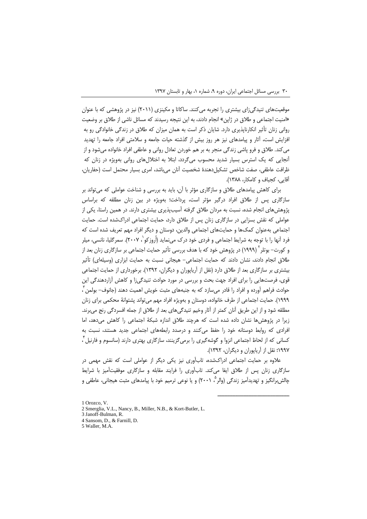موقعیتهای تنیدگیزای بیشتری را تجربه میکنند. ساکاتا و مکینزی (۲۰۱۱) نیز در پژوهشی که با عنوان «امنیت اجتماعی و طلاق در ژاپن» انجام دادند، به این نتیجه رسیدند که مسائل ناشی از طلاق بر وضعیت روانی زنان تأثیر انکارناپذیری دارد. شایان ذکر است به همان میزان که طلاق در زندگی خانوادگی رو به افزایش است، آثار و پیامدهای نیز هر روز بیش از گذشته حیات جامعه و سلامتی افراد جامعه را تهدید می کند. طلاق و فرو پاشی زندگی منجر به بر هم خوردن تعادل روانی و عاطفی افراد خانواده میشود و از آنجایی که یک استرس بسیار شدید محسوب میگردد، ابتلا به اختلالهای روانی بهویژه در زنان که ظرافت عاطفي، صفت شاخص تشكيلدهندة شخصيت آنان مي باشد، امرى بسيار محتمل است (حفاريان، آقایی، کجباف و کامکار، ۱۳۸۸).

برای کاهش پیامدهای طلاق و سازگاری مؤثر با آن، باید به بررسی و شناخت عواملی که می تواند بر سازگاری پس از طلاق افراد درگیر مؤثر است، پرداخت؛ بهویژه در بین زنان مطلقه که براساس پژوهشهای انجام شده، نسبت به مردان طلاق گرفته آسیبپذیری بیشتری دارند. در همین راستا، یکی از عواملی که نقش بسزایی در سازگاری زنان پس از طلاق دارد، حمایت اجتماعی ادراکشده است. حمایت اجتماعی بهعنوان کمک@ا و حمایتهای اجتماعی والدین، دوستان و دیگر افراد مهم تعریف شده است که فرد آنها را با توجه به شرایط اجتماعی و فردی خود درک می نماید (اُروز کو`، ۲۰۰۷). سمرگلیا، نانسی، میلر و کورت– بوتلر<sup>۲</sup> (۱۹۹۹) در پژوهش خود که با هدف بررسی تأثیر حمایت اجتماعی بر سازگاری زنان بعد از طلاق انجام دادند، نشان دادند که حمایت اجتماعی- هیجانی نسبت به حمایت ابزاری (وسیلهای) تأثیر بیشتری بر سازگاری بعد از طلاق دارد (نقل از آریاپوران و دیگران، ۱۳۹۲). برخورداری از حمایت اجتماعی قوی، فرصتهایی را برای افراد جهت بحث و بررسی در مورد حوادث تنیدگی;ا و کاهش آزاردهندگی این حوادث فراهم آورده و افراد را قادر می سازد که به جنبههای مثبت خویش اهمیت دهند (جانوف– بولمن ً، ١٩٩٩). حمايت اجتماعي از طرف خانواده، دوستان و بهويژه افراد مهم مي تواند يشتوانهٔ محکمي براي زنان مطلقه شود و از این طریق آنان کمتر از آثار وخیم تنیدگیهای بعد از طلاق از جمله افسردگی رنج می برند. زیرا در پژوهش ها نشان داده شده است که هرچند طلاق اندازه شبکهٔ اجتماعی را کاهش میدهد، اما افرادی که روابط دوستانه خود را حفظ می کنند و درصدد رابطههای اجتماعی جدید هستند، نسبت به کسانی که از لحاظ اجتماعی انزوا و گوشهگیری را برمی گزینند، سازگاری بهتری دارند (سانسوم و فارنیل ٌ، ١٩٩٧؛ نقل از آریاپوران و دیگران، ١٣٩٢).

علاوه بر حمایت اجتماعی ادراکشده، تابآوری نیز یکی دیگر از عواملی است که نقش مهمی در سازگاری زنان پس از طلاق ایفا میکند. تابآوری را فرایند مقابله و سازگاری موفقیتآمیز با شرایط جالش برانگیز و تهدیدآمیز زندگی (والر<sup>م</sup> ۲۰۰۱) و یا نوعی ترمیم خود با پیامدهای مثبت هیجانی، عاطفی و

<sup>1</sup> Orozco, V.

<sup>2</sup> Smerglia, V.L., Nancy, B., Miller, N.B., & Kort-Butler, L.

<sup>3</sup> Janoff-Bulman, R.

<sup>4</sup> Sansom, D., & Farnill, D.

<sup>5</sup> Waller, M.A.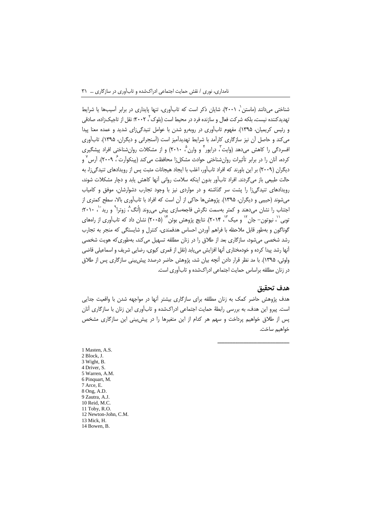شناختی میدانند (ماستن `، ۲۰۰۱). شایان ذکر است که تابآوری، تنها پایداری در برابر آسیبها یا شرایط تهدیدکننده نیست، بلکه شرکت فعال و سازنده فرد در محیط است (بلوک ۲ ، ۲۰۰۲: نقل از تاجیک;اده، صادقی و رئیس کریمیان، ۱۳۹۵). مفهوم تابآوری در روبهرو شدن با عوامل تنیدگیزای شدید و عمده معنا پیدا می کند و حاصل آن نیز سازگاری کارآمد با شرایط تهدیدآمیز است (آسنجرانی و دیگران، ۱۳۹۵). تابآوری افسردگی را کاهش میدهد (وایت ؒ، درایور ؓ و وارن ؓ، ۲۰۱۰) و از مشکلات روانِشناختی افراد پیشگیری کرده، آنان را در برابر تأثیرات روان،شناختی حوادث مشکلiا محافظت می کند (پینکوآرت<sup>ع ۲۰۰</sup>۹). آرس<sup>۷</sup> و دیگران (۲۰۰۹) بر این باورند که افراد تابآور، اغلب با ایجاد هیجانات مثبت پس از رویدادهای تنیدگی زا، به حالت طبیعی باز میگردند. افراد تابآور بدون اینکه سلامت روانی آنها کاهش یابد و دچار مشکلات شوند، رویدادهای تنیدگیزا را پشت سر گذاشته و در مواردی نیز با وجود تجارب دشوارشان، موفق و کامیاب می شوند (حبیبی و دیگران، ۱۳۹۵). پژوهش ها حاکی از آن است که افراد با تابآوری بالا، سطح کمتری از اجتناب را نشان میدهند و کمتر بهسمت نگرش فاجعهسازی پیش میروند (اُنگ ُ، زوترا ٌ و رید ٔ ۲۰۱۰ ؛ توبی'`، نیوتون− جان `` و میک ```، ۲۰۱۴). نتایج پژوهش بوئن `` (۲۰۰۵) نشان داد که تابآوری از راههای گوناگون و بهطور قابل ملاحظه با فراهم آوردن احساس هدفمندی، کنترل و شایستگی که منجر به تجارب رشد شخصی می شود، سازگاری بعد از طلاق را در زنان مطلقه تسهیل می کند، بهطوری که هویت شخصی آنها رشد پیدا کرده و خودمختاری آنها افزایش می یابد (نقل از قمری کیوی، رضایی شریف و اسماعیلی قاضی ولوئی، ۱۳۹۵). با مد نظر قرار دادن آنچه بیان شد، پژوهش حاضر درصدد پیش بینی سازگاری پس از طلاق در زنان مطلقه براساس حمایت اجتماعی ادراکشده و تابآوری است.

#### هدف تحقىق

هدف پژوهش حاضر کمک به زنان مطلقه برای سازگاری بیشتر آنها در مواجهه شدن با واقعیت جدایی است. پیرو این هدف، به بررسی رابطهٔ حمایت اجتماعی ادراکشده و تابآوری این زنان با سازگاری آنان پس از طلاق خواهیم پرداخت و سهم هر کدام از این متغیرها را در پیش بینی این سازگاری مشخص خواهيم ساخت.

1 Masten, A.S. 2 Block, J. 3 Wight, B. 4 Driver, S. 5 Warren, A.M. 6 Pinquart, M. 7 Arce, E. 8 Ong, A.D. 9 Zautra, A.J. 10 Reid, M.C. 11 Toby, R.O. 12 Newton-John, C.M. 13 Mick H. 14 Bowen, B.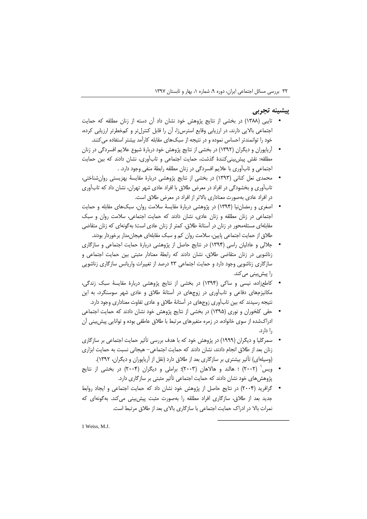### پیشینه تجربی

- تایبی (۱۳۸۸) در بخشی از نتایج پژوهش خود نشان داد آن دسته از زنان مطلقه که حمایت اجتماعی بالایی دارند، در ارزیابی وقایع استرسiا، أن را قابل کنترل¤ر و کمخطرتر ارزیابی کرده، خود را توانمندتر احساس نموده و در نتیجه از سبکهای مقابله کارآمد بیشتر استفاده می کنند.
- \_ آریاپوران و دیگران (۱۳۹۲) در بخشی از نتایج پژوهش خود دربارهٔ شیوع علایم افسردگی در زنان مطلقه: نقش پیش بینی کنندهٔ گذشت، حمایت اجتماعی و تابآوری، نشان دادند که بین حمایت اجتماعی و تابآوری با علایم افسردگی در زنان مطلقه رابطهٔ منفی وجود دارد. .
- محمدی نعل کنانی (۱۳۹۳) در بخشی از نتایج پژوهشی دربارهٔ مقایسهٔ بهزیستی روان شناختی، تابآوری و بخشودگی در افراد در معرض طلاق با افراد عادی شهر تهران، نشان داد که تابآوری در افراد عادی بهصورت معناداری بالاتر از افراد در معرض طلاق است.
- اصغری و رمضان نیا (۱۳۹۴) در پژوهشی دربارهٔ مقایسهٔ سلامت روان، سبکهای مقابله و حمایت اجتماعی در زنان مطلقه و زنان عادی، نشان دادند که حمایت اجتماعی، سلامت روان و سبک مقابلهای مسئلهمحور در زنان در آستانهٔ طلاق، کمتر از زنان عادی است؛ به گونهای که زنان متقاضی طلاق از حمایت اجتماعی پایین، سلامت روان کم و سبک مقابلهای هیجان مدار برخوردار بودند.
- جلالی و عادلیان راسی (۱۳۹۴) در نتایج حاصل از پژوهشی دربارهٔ حمایت اجتماعی و سازگاری زناشویی در زنان متقاضی طلاق، نشان دادند که رابطهٔ معنادار مثبتی بین حمایت اجتماعی و سازگاری زناشویی وجود دارد و حمایت اجتماعی ۲۳ درصد از تغییرات واریانس سازگاری زناشویی را پیشبینی می کند.
- کاطعزاده، نیسی و ساکی (۱۳۹۴) در بخشی از نتایج پژوهشی دربارهٔ مقایسهٔ سبک زندگی، مکانیزمهای دفاعی و تابآوری در زوجهای در آستانهٔ طلاق و عادی شهر سوسنگرد، به این نتیجه رسیدند که بین تابآوری زوجهای در آستانهٔ طلاق و عادی تفاوت معناداری وجود دارد.
- حقی کلخوران و نوری (۱۳۹۵) در بخشی از نتایج پژوهش خود نشان دادند که حمایت اجتماعی ادراکشده از سوی خانواده، در زمره متغیرهای مرتبط با طلاق عاطفی بوده و توانایی پیش بینی آن ,ا دارد.
- سمرگلیا و دیگران (۱۹۹۹) در پژوهش خود که با هدف بررسی تأثیر حمایت اجتماعی بر سازگاری زنان بعد از طلاق انجام دادند، نشان دادند که حمایت اجتماعی- هیجانی نسبت به حمایت ابزاری (وسیلهای) تأثیر بیشتری بر سازگاری بعد از طلاق دارد (نقل از آریاپوران و دیگران، ۱۳۹۲).
- ویس ( ۲۰۰۲) ؛ هالند و هالاهان (۲۰۰۳)؛ براملی و دیگران (۲۰۰۴) در بخشی از نتایج پژوهش های خود نشان دادند که حمایت اجتماعی تأثیر مثبتی بر سازگاری دارد.
- گرافرید (۲۰۰۴) در نتایج حاصل از پژوهش خود نشان داد که حمایت اجتماعی و ایجاد روابط جدید بعد از طلاق، سازگاری افراد مطلقه را بهصورت مثبت پیش بینی می کند. بهگونهای که نمرات بالا در ادراک حمایت اجتماعی با سازگاری بالای بعد از طلاق مرتبط است.

1 Weiss, M.J.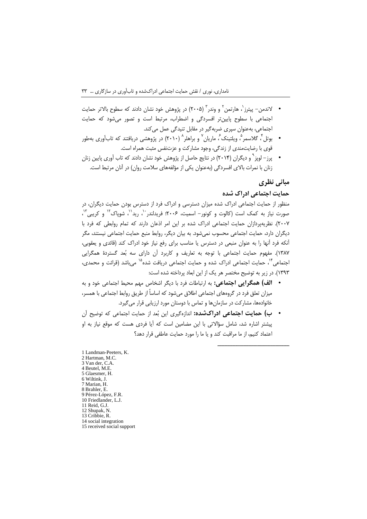- لاندمن– پیترز`، هارتمن` و وندر ّ (۲۰۰۵) در پژوهش خود نشان دادند که سطوح بالاتر حمایت اجتماعی با سطوح پایین تر افسردگی و اضطراب، مرتبط است و تصور می شود که حمایت اجتماعی، بهعنوان سپری ضربهگیر در مقابل تنیدگی عمل می کند.
- بوتل ٌ، گلاسمر ؓ، ویلتینک ؒ، ماریان ؒ و براهلر ؓ (۲۰۱۰) در پژوهشی دریافتند که تابآوری بهطور قوی با رضایتمندی از زندگی، وجود مشارکت و عزتنفس مثبت همراه است.
- پرز– لوپز <sup>۹</sup> و دیگران (۲۰۱۴) در نتایج حاصل از پژوهش خود نشان دادند که تاب آوری پایین زنان زنان با نمرات بالای افسردگی (بهعنوان یکی از مؤلفههای سلامت روان) در آنان مرتبط است.

### مبانی نظری

#### حمایت اجتماعی ادراک شده

منظور از حمایت اجتماعی ادراک شده میزان دسترسی و ادراک فرد از دسترس بودن حمایت دیگران، در صورت نیاز به کمک است (کالوت و کونور– اسمیت، ۲۰۰۶: فریدلندر ``، رید``، شویاک'` و کریبی'``، ٢٠٠٧). نظريهپردازان حمايت اجتماعي ادراک شده بر اين امر اذعان دارند که تمام روابطي که فرد با دیگران دارد، حمایت اجتماعی محسوب نمیشود. به بیان دیگر، روابط منبع حمایت اجتماعی نیستند، مگر آنکه فرد آنها را به عنوان منبعی در دسترس یا مناسب برای رفع نیاز خود ادراک کند (قائدی و یعقوبی، ١٣٨٧). مفهوم حمايت اجتماعي با توجه به تعاريف و كاربرد آن داراي سه بُعد گستردهٔ همگرايي اجتماعی<sup>۱۴</sup>، حمایت اجتماعی ادراک شده و حمایت اجتماعی دریافت شده<sup>۱۵</sup> می باشد (قرائت و محمدی، ١٣٩٣). در زير به توضيح مختصر هر يک از اين ابعاد پرداخته شده است:

- الف) همگرایی اجتماعی: به ارتباطات فرد با دیگر اشخاص مهم محیط اجتماعی خود و به میزان تعلق فرد در گروههای اجتماعی اطلاق میشود که اساساً از طریق روابط اجتماعی با همسر، خانوادهها، مشارکت در سازمانها و تماس با دوستان مورد ارزیابی قرار می گیرد.
- ب) حمایت اجتماعی ادراکشده: اندازهگیری این بُعد از حمایت اجتماعی که توضیح آن یشتر اشاره شد، شامل سؤالاتی با این مضامین است که آیا فردی هست که موقع نیاز به او اعتماد كنيم، از ما مراقبت كند و يا ما را مورد حمايت عاطفي قرار دهد؟

1 Landman-Peeters, K. 2 Hartman, M.C. 3 Van der, C.A. 4 Beutel, M.E. 5 Glaesmer, H. 6 Wiltink, J. 7 Marian, H. 8 Brahler, E. 9 Pérez-López, F.R. 10 Friedlander, L.J. 11 Reid. G.J. 12 Shupak, N 13 Cribbie, R. 14 social integration 15 received social support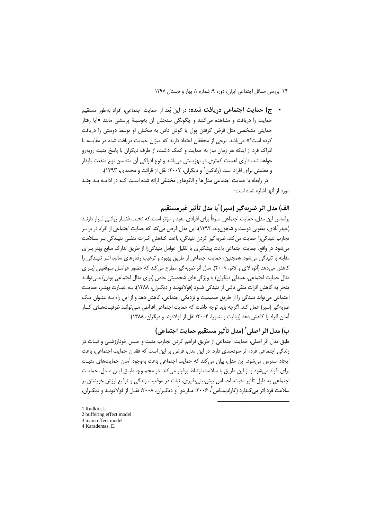• ج) حم**ایت اجتماعی دریافت شده:** در این بُعد از حمایت اجتماعی، افراد بهطور مستقیم حمایت را دریافت و مشاهده میکنند و چگونگی سنجش آن بهوسیلهٔ پرسشی مانند «آیا رفتار حمایتی مشخصی مثل قرض گرفتن پول یا گوش دادن به سخنان او توسط دوستی را دریافت کرده است؟» میباشد. برخی از محققان اعتقاد دارند که میزان حمایت دریافت شده در مقایسه با ادراک فرد از اینکه هر زمان نیاز به حمایت و کمک داشت، از طرف دیگران با پاسخ مثبت روبهرو خواهد شد، دارای اهمیت کمتری در بهزیستی میباشد و نوع ادراکی آن متضمن نوع منفعت پایدار و مطمئن برای افراد است (رادکین` و دیگران، ۲۰۰۲؛ نقل از قرائت و محمدی، ۱۳۹۳).

در رابطه با حمایت اجتماعی مدلها و الگوهای مختلفی ارائه شده است کـه در ادامـه بـه چنـد مورد از آنها اشاره شده است:

## الف) مدل اثر ضربهگیر (سیر) ّیا مدل تأثیر غیرمستقیم

براساس این مدل، حمایت اجتماعی صرفاً برای افرادی مفید و مؤثر است که تحـت فشــار روانــی قــرار دارنــد (حیدرآبادی، یعقوبی دوست و شاهون وند، ۱۳۹۲). این مدل فرض می کند که حمایت اجتماعی از افراد در برابـر تجارب تنیدگی;ا حمایت می کند. ضربهگیر کردن تنیدگی، باعث کـاهش اثـرات منفـی تنیـدگی بـر سـلامت می شود. در واقع، جمایت اجتماعی باعث پیشگیری یا تقلیل عوامل تنیدگی زا از طریق تدارک منابع بهتر بـرای مقابله با تنیدگی می شود. همچنین، حمایت اجتماعی از طریق بهبود و ترغیب رفتارهای سالم، اثـر تنیـدگی را کاهش می دهد (آئو، لای و لائو، ۲۰۰۹). مدل اثر ضربه گیر مطرح می کند که حضور عوامـل مـوقعیتی (بـرای مثال حمایت اجتماعی، همدلی دیگران) یا ویژگیهای شخصیتی خاص (برای مثال اجتماعی بودن) مـی توانـد منجر به کاهش اثرات منفی ناشی از تنیدگی شـود (فولادونـد و دیگـران، ۱۳۸۸). بـه عبـارت بهتـر، حمایـت اجتماعی می تواند تنیدگی را از طریق صمیمیت و نزدیکی اجتماعی، کاهش دهد و از این راه بـه عنـوان یـک ضربه گیر (سیر) عمل کند. اگرچه باید توجه داشت که حمایت اجتماعی افراطی مـی توانـد ظرفیـتهـای کنـار آمدن افراد را کاهش دهد (بینایت و بندورا، ۲۰۰۴؛ نقل از فولادوند و دیگران، ۱۳۸۸).

# ب) مدل اثر اصلي ّ (مدل تأثير مستقيم حمايت اجتماعي)

طبق مدل اثر اصلی، حمایت اجتماعی از طریق فراهم کردن تجارب مثبت و حـس خودارزشـی و ثبـات در زندگی اجتماعی فرد، اثر سودمندی دارد. در این مدل، فرض بر این است که فقدان حمایت اجتماعی، باعث ایجاد استرس می شود. این مدل، بیان می کند که حمایت اجتماعی باعث بهوجود آمدن حمایتهای مثبت برای افراد میشود و از این طریق با سلامت ارتباط برقرار میکند. در مجمـوع، طبـق ایـن مـدل، حمایـت اجتماعی به دلیل تأثیر مثبت، احساس پیش بینی پذیری، ثبات در موقعیت زندگی و ترفیع ارزش خویشتن بر سلامت فرد اثر می گـذارد (كاراديمـاس ً، ۲۰۰۶؛ مـارينو ْ و ديگـران، ۲۰۰۸؛ نقـل از فولادونـد و ديگـران،

1 Rudkin, L. 2 buffering effect model 3 main effect model 4 Karademas, E.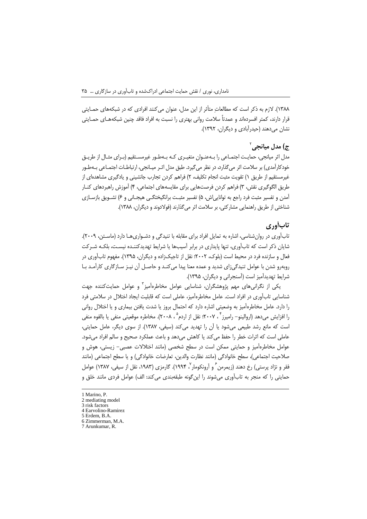۱۳۸۸). لازم به ذکر است که مطالعاتِ متأثر از این مدل، عنوان می کنند افرادی که در شبکههای حمـایتی قرار دارند، کمتر افسردهاند و عمدتاً سلامت روانی بهتری را نسبت به افراد فاقد چنین شبکههـای حمـایتی نشان میدهند (حیدرآبادی و دیگران، ۱۳۹۲).

## ع) مدل میانحی<sup>۲</sup>

مدل اثر میانجی، حمایت اجتمـاعی را بـهعنـوان متغیـری کـه بـهطـور غیرمسـتقیم (بـرای مثـال از طریـق خودکارآمدی) بر سلامت اثر می گذارد، در نظر می گیرد. طبق مدل اثـر میـانجے، ارتباطـات اجتمـاعی بـهطـور غیرمستقیم از طریق ۱) تقویت مثبت انجام تکلیف، ۲) فراهم کردن تجارب جانشینی و یادگیری مشاهدمای از طريق الگوگيري نقش، ٣) فراهم كردن فرصتهايي براي مقايسههاي اجتماعي، ۴) آموزش راهبردهاي كنــار آمدن و تفسیر مثبت فرد راجع به توانایی|ش، ۵) تفسیر مثبت برانگیختگـی هیجـانی و ۶) تشـویق بازسـازی شناختی از طریق راهنمایی مشارکتی، بر سلامت اثر می گذارند (فولادوند و دیگران، ۱۳۸۸).

### تابأوري

تابآوری در روانشناسی، اشاره به تمایل افراد برای مقابله با تنیدگی و دشـواریهـا دارد (ماسـتن، ۲۰۰۹). شایان ذکر است که تابآوری، تنها پایداری در برابر آسیبها یا شرایط تهدیدکننـده نیسـت، بلکـه شـرکت فعال و سازنده فرد در محیط است (بلوک، ۲۰۰۲؛ نقل از تاجیکزاده و دیگران، ۱۳۹۵). مفهوم تابآوری در روبهرو شدن با عوامل تنیدگیزای شدید و عمده معنا پیدا می کنـد و حاصـل آن نیـز سـازگاری کارآمـد بـا شرایط تهدیدآمیز است (آسنجرانی و دیگران، ۱۳۹۵).

یکی از نگرانیهای مهم پژوهشگران، شناسایی عوامل مخاطرهآمیز ؓ و عوامل حمایتکننده جهت شناسایی تابآوری در افراد است. عامل مخاطرهآمیز، عاملی است که قابلیت ایجاد اختلال در سلامتی فرد را دارد. عامل مخاطرهآمیز به وضعیتی اشاره دارد که احتمال بروز یا شدت یافتن بیماری و یا اختلال روانی را افزایش می دهد (اروالینو– رامیرز <sup>۴</sup> ، ۲۰۰۷؛ نقل از اردم<sup>۵</sup> ، ۲۰۰۸). مخاطره موقعیتی منفی یا بالقوه منفی است که مانع رشد طبیعی میشود یا آن را تهدید میکند (سیفی، ۱۳۸۷). از سوی دیگر، عامل حمایتی، عاملي است كه اثرات خطر را حفظ مي كند يا كاهش مي دهد و باعث عملكرد صحيح و سالم افراد مي شود. عوامل مخاطرهآمیز و حمایتی ممکن است در سطح شخصی (مانند اختلالات عصبی- زیستی، هوش و صلاحیت اجتماعی)، سطح خانوادگی (مانند نظارت والدین، تعارضات خانوادگی) و یا سطح اجتماعی (مانند فقر و نژاد پرستی) رخ دهند (زیمرمن ً و آرونکومار ٔ ۱۹۹۴). گارمزی (۱۹۸۳، نقل از سیفی، ۱۳۸۷) عوامل حمایتی را که منجر به تابآوری میشوند را این گونه طبقهبندی میکند: الف) عوامل فردی مانند خلق و

<sup>1</sup> Marino, P.

<sup>2</sup> mediating model 3 risk factors

<sup>4</sup> Earvolino-Ramirez

<sup>5</sup> Erdem, B.A.

 $6$  Zimmerman, M.A.

<sup>7</sup> Arunkumar, R.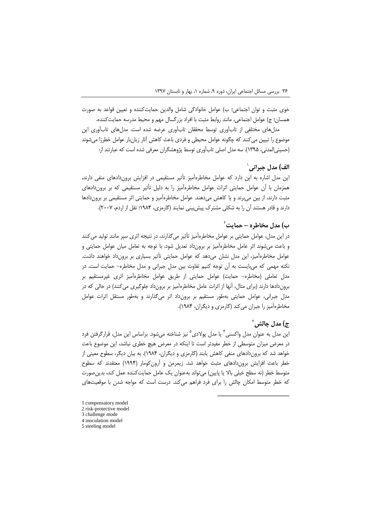خوى مثبت و توان اجتماعي؛ ب) عوامل خانوادگى شامل والدين حمايتكننده و تعيين قواعد به صورت همسان؛ ج) عوامل اجتماعي، مانند روابط مثبت با افراد بزرگسال مهم و محیط مدرسه حمایتکننده.

مدلهای مختلفی از تابآوری توسط محققان تابآوری عرضه شده است. مدلهای تابآوری این موضوع را تبیین می کنند که چگونه عوامل محیطی و فردی باعث کاهش آثار زیانبار عوامل خطرزا میشوند (حسینی|لمدنی، ۱۳۹۵). سه مدل اصلی تابآوری توسط پژوهشگران معرفی شده است که عبارتند از:

# الف) مدل جيراني`

این مدل اشاره به این دارد که عوامل مخاطرهآمیز تأثیر مستقیمی در افزایش برون(دادهای منفی دارند، همزمان با آن عوامل حمایتی اثرات عوامل مخاطرهآمیز را به دلیل تأثیر مستقیمی که بر بروندادهای مثبت دارند، از بین میبرند و یا کاهش میدهند. عوامل مخاطرهآمیز و حمایتی اثر مستقیمی بر بروندادها دارند و قادر هستند آن را به شکلی مشترک پیش بینی نمایند (گارمزی، ۱۹۸۴؛ نقل از اردم، ۲۰۰۷).

### ب) مدل مخاطره – حمایت ٔ

در این مدل، عوامل حمایتی بر عوامل مخاطرهآمیز تأثیر می گذارند، در نتیجه اثری سیر مانند تولید می کنند و باعث می شوند اثر عامل مخاطرهآمیز بر برون داد تعدیل شود. با توجه به تعامل میان عوامل حمایتی و عوامل مخاطرهأمیز، این مدل نشان میدهد که عوامل حمایتی تأثیر بسیاری بر برونداد خواهند داشت. نکته مهمی که میبایست به آن توجه کنیم تفاوت بین مدل جبرانی و مدل مخاطره- حمایت است. در مدل تعاملی (مخاطره- حمایت) عوامل حمایتی از طریق عوامل مخاطرهآمیز اثری غیرمستقیم بر بروندادها دارند (برای مثال، آنها از اثرات عامل مخاطرهآمیز بر برونداد جلوگیری می کنند) در حالی که در مدل جبرانی، عوامل حمایتی بهطور مستقیم بر برونداد اثر میگذارند و بهطور مستقل اثرات عوامل مخاطرهآمیز را جبران می کند (گارمزی و دیگران، ۱۹۸۴).

### $^7$ مدل جالش آ $\left(\pi\right)^7$

این مدل به عنوان مدل واکسنی<sup>۲</sup> یا مدل پولادی<sup>۵</sup> نیز شناخته میشود. براساس این مدل، قرارگرفتن فرد در معرض میزان متوسطی از خطر مفیدتر است تا اینکه در معرض هیچ خطری نباشد، این موضوع باعث خواهد شد که بروندادهای منفی کاهش یابند (گارمزی و دیگران، ۱۹۸۴). به بیان دیگر، سطوح معینی از خطر باعث افزایش بروندادهای مثبت خواهد شد. زیمرمن و آرونکومار (۱۹۹۴) معتقدند که سطوح متوسط خطر (نه سطح خیلی بالا یا پایین) میتواند بهعنوان یک عامل حمایتکننده عمل کند، بدین صورت که خطر متوسط امکان چالش را برای فرد فراهم میکند. درست است که مواجه شدن با موقعیتهای

1 compensatory model 2 risk-protective model 3 challenge mode 4 inoculation model 5 steeling model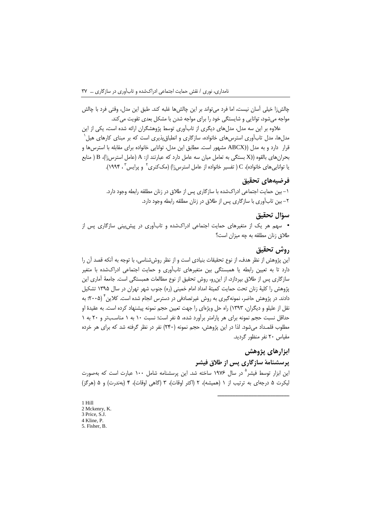چالشiز خیلی آسان نیست، اما فرد می تواند بر این چالشها غلبه کند. طبق این مدل، وقتی فرد با چالش مواجه می شود، توانایی و شایستگی خود را برای مواجه شدن با مشکل بعدی تقویت می کند.

علاوه بر این سه مدل، مدلهای دیگری از تابآوری توسط پژوهشگران ارائه شده است، یکی از این مدلها، مدل تابآوری استرسهای خانواده، سازگاری و انطباق پذیری است که بر مبنای کارهای هیل قرار دارد و به مدل ((ABCX مشهور است. مطابق این مدل، توانایی خانواده برای مقابله با استرس ها و بحرانهای بالقوه ((X بستگی به تعامل میان سه عامل دارد که عبارتند از: A (عامل استرس;۱)، B ( منابع یا توانایی های خانواده)، C ( تفسیر خانواده از عامل استرس;۱) (مک $\Sigma$ نری $^{\gamma}$  و پرایس ۳ ، ۱۹۹۴).

## فرضيههاي تحقيق

۱– بین حمایت اجتماعی ادراکشده با سازگاری پس از طلاق در زنان مطلقه رابطه وجود دارد. ٢- بين تاب آوري با سازگاري پس از طلاق در زنان مطلقه رابطه وجود دارد.

#### سؤال تحقيق

• سهم هر یک از متغیرهای حمایت اجتماعی ادراکشده و تابآوری در پیش بینی سازگاری پس از طلاق زنان مطلقه به چه میزان است؟

### روش تحقيق

این پژوهش از نظر هدف، از نوع تحقیقات بنیادی است و از نظر روششناسی، با توجه به آنکه قصد آن را دارد تا به تعیین رابطه یا همبستگی بین متغیرهای تابآوری و حمایت اجتماعی ادراکشده با متغیر سازگاری پس از طلاق بپردازد، از این رو، روش تحقیق از نوع مطالعات همبستگی است. جامعهٔ آماری این یژوهش را کلیهٔ زنان تحت حمایت کمیتهٔ امداد امام خمینی (ره) جنوب شهر تهران در سال ۱۳۹۵ تشکیل دادند. در پژوهش حاضر، نمونهگیری به روش غیرتصادفی در دسترس انجام شده است. کلاین ٔ (۲۰۰۵)؛ به نقل از علیلو و دیگران، ۱۳۹۳) راه حل ویژهای را جهت تعیین حجم نمونه پیشنهاد کرده است. به عقیدهٔ او حداقل نسبت حجم نمونه برای هر پارامتر برآورد شده، ۵ نفر است؛ نسبت ۱۰ به ۱ مناسـبتر و ۲۰ به ۱ مطلوب قلمـداد می شود. لذا در این پژوهش، حجم نمونه (۲۴۰) نفر در نظر گرفته شد که برای هر خرده مقیاس ٢٠ نفر منظور گردید.

# ابزارهای پژوهش

### پرسشنامهٔ سازگاری پس از طلاق فیشر

این ابزار توسط فیشر<sup>۵</sup> در سال ۱۹۷۶ ساخته شد. این پرسشنامه شامل ۱۰۰ عبارت است که بهصورت ليكرت ۵ درجهاي به ترتيب از ۱ (هميشه)، ۲ (اكثر اوقات)، ۳ (گاهي اوقات)، ۴ (بهندرت) و ۵ (هرگز)

 $1$  Hill 2 Mckenry, K. 3 Price, S.J. 4 Kline, P. 5. Fisher, B.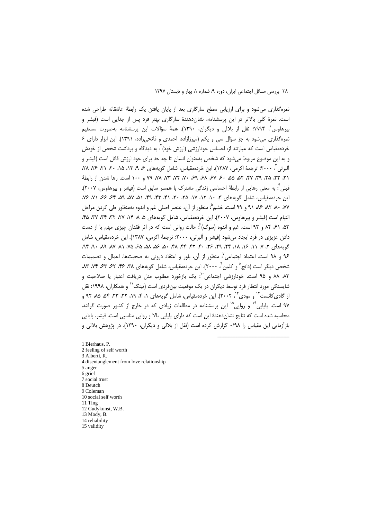نمرهگذاری میشود و برای ارزیابی سطح سازگاری بعد از پایان یافتن یک رابطهٔ عاشقانه طراحی شده است. نمرهٔ کلی بالاتر در این پرسشنامه، نشانِ دهندهٔ سازگاری بهتر فرد پس از جدایی است (فیشر و بيرهاوس`، ١٩٩۴؛ نقل از بلالي و ديگران، ١٣٩٠). همهٔ سؤالات اين پرسشنامه بهصورت مستقيم نمره گذاری می شود به جز سؤال سی و یکم (میرزازاده، احمدی و فاتحی;اده، ۱۳۹۱). این ابزار دارای ۶ خردهمقیاس است که عبارتند از: احساس خودارزشی (ارزش خود) ٌ: به دیدگاه و برداشت شخص از خودش و به این موضوع مربوط میشود که شخص بهعنوان انسان تا چه حد برای خود ارزش قائل است (فیشر و آلبرتي"، ٢٠٠٠؛ ترجمهٔ اکرمي، ١٣٨٧). اين خردهمقياس، شامل گويههاي ۶، ٩، ١٣، ١۵، ٢٠، ٢١، ٢۶، ٢٨، ۳۱، ۳۳، ۳۵، ۳۹، ۴۷، ۵۵، ۵۵، ۶۷، ۶۷، ۶۹، ۶۸، ۳۲، ۷۸، ۷۹، ۲۹، ۲۰۰ است. رها شدن از رابطهٔ قبلي ٌّ: به معنى رهايي از رابطهٔ احساسي زندگي مشترک با همسر سابق است (فيشر و بيرهاوس، ٢٠٠٧). این خردهمقیاس، شامل گویههای ۳، ۱۰، ۱۲، ۱۷، ۲۵، ۳۰، ۴۱، ۴۳، ۴۹، ۵۱، ۵۷، ۵۹، ۶۶، ۷۶، ۷۶ ۰۷۷، ۸۰، ۸۲، ۸۶، ۹۱ و. ۹۹ است. خشم ْ: منظور از آن، عنصر اصلی غم و اندوه بهمنظور طی کردن مراحل التيام است (فيشر و بيرهاوس، ٢٠٠٧). اين خردهمقياس، شامل گويههاي ۵، ٨، ١۴، ٢٧، ٣٣، ٣٣، ٣٥، ۴۵، ۵۳، ۶۱، ۸۴ و ۹۳ است. غم و اندوه (سوگ) ٔ: حالت روانی است که در اثر فقدان چیزی مهم یا از دست دادن عزیزی در فرد ایجاد میشود (فیشر و آلبرتی، ۲۰۰۰؛ ترجمهٔ اکرمی، ۱۳۸۷). این خردهمقیاس، شامل گونههای ۲، ۷، ۱۱، ۱۶، ۱۸، ۲۴، ۲۹، ۲۶، ۴۰، ۴۲، ۴۴، ۴۸، ۵۶، ۵۸، ۵۵، ۵۸، ۸۱، ۸۷، ۴۹، ۴۹، ۹۶ و ۹۸ است. اعتماد اجتماعی": منظور از آن، باور و اعتقاد درونی به صحبتها، اعمال و تصمیمات شخص دیگر است (داتچ^ و کلمن`ْ، ۲۰۰۰). این خردهمقیاس، شامل گویههای ۳۸، ۴۶، ۶۲، ۶۳، ۸۳، ۸۳، ٨٣ ٨٨ و ٩۵ است. خودارزشي اجتماعي<sup>٠٠</sup>: يک بازخورد مطلوب مثل دريافت اعتبار يا صلاحيت و شایستگی مورد انتظار فرد توسط دیگران در یک موقعیت بینفردی است (تینگ<sup>۰٬۱</sup> و همکاران، ۱۹۹۸؛ نقل از گادی کانست<sup>۱۲</sup> و مودی<sup>۱۳</sup>. ۲۰۰۲). این خردهمقیاس، شامل گویههای ۱، ۴، ۱۹، ۲۲، ۲۳، ۵۴، ۸۵، ۹۲ و ۹۷ است. پایایی ٔ'' و روایی<sup>۱۵</sup> این پرسشنامه در مطالعات زیادی که در خارج از کشور صورت گرفته، محاسبه شده است که نتایج نشاندهندهٔ این است که دارای پایایی بالا و روایی مناسبی است. فیشر، پایایی بازآزمایی این مقیاس را ۰/۹۸ گزارش کرده است (نقل از بلالی و دیگران، ۱۳۹۰). در پژوهش بلالی و

1 Bierhaus, P. 2 feeling of self worth 3 Alberti, R. 4 disentanglement from love relationship 5 anger 6 grief 7 social trust 8 Deutch 9 Coleman 10 social self worth 11 Ting 12 Gudykunst, W.B. 13 Mody, B. 14 reliability 15 validity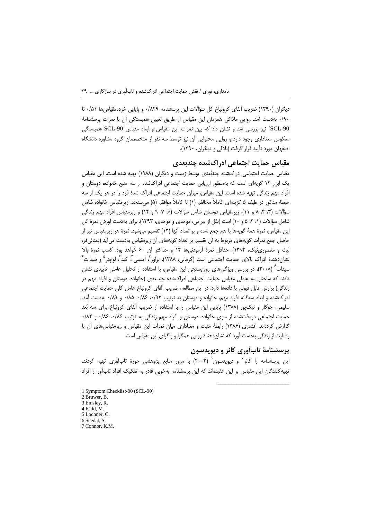دیگران (۱۳۹۰) ضریب آلفای کرونباخ کل سؤالات این پرسشنامه ۰/۸۲۹ و پایایی خردهمقیاسها ۰/۵۱ تا ۰/۹۰ بهدست آمد. روایی ملاکی همزمان این مقیاس از طریق تعیین همبستگی آن با نمرات پرسشنامهٔ SCL-90' نیز بررسی شد و نشان داد که بین نمرات این مقیاس و ابعاد مقیاس SCL-90' همبستگی معکوس معناداری وجود دارد و روایی محتوایی آن نیز توسط سه نفر از متخصصان گروه مشاوره دانشگاه اصفهان مورد تأیید قرار گرفت (بلالی و دیگران، ۱۳۹۰).

## مقیاس حمایت اجتماعی ادراکشده چندبعدی

مقیاس حمایت اجتماعی ادراکشده چندبُعدی توسط زیمت و دیگران (۱۹۸۸) تهیه شده است. این مقیاس یک ابزار ۱۲ گویهای است که بهمنظور ارزیابی حمایت اجتماعی ادراکشده از سه منبع خانواده، دوستان و افراد مهم زندگی تهیه شده است. این مقیاس، میزان حمایت اجتماعی ادراک شدهٔ فرد را در هر یک از سه حيطةَ مذكور در طيف ۵ گزينهاي كاملاً مخالفم (۱) تا كاملاً موافقم (۵) مي سنجد. زيرمقياس خانواده شامل سؤالات (٣، ۴، ٨ و ١١)، زيرمقياس دوستان شامل سؤالات (۶، ٧، ٩ و ١٢) و زيرمقياس افراد مهم زندگي شامل سؤالات (۱، ۲، ۵ و ۱۰) است (نقل از بیرامی، موحدی و موحدی، ۱۳۹۳). برای بهدست آوردن نمرهٔ کل این مقیاس، نمرهٔ همهٔ گویهها با هم جمع شده و بر تعداد آنها (١٢) تقسیم میشود. نمرهٔ هر زیرمقیاس نیز از حاصل جمع نمرات گویههای مربوط به آن تقسیم بر تعداد گویههای آن زیرمقیاس بهدست می آید (تمنائی فر، لیث و منصوری نیک، ۱۳۹۲). حداقل نمرهٔ آزمودنیها ۱۲ و حداکثر آن ۶۰ خواهد بود. کسب نمرهٔ بالا نشانِ دهندهٔ ادراک بالای حمایت اجتماعی است (کرمانی، ۱۳۸۸). براور ، امسلی ، کید ، لوچنر <sup>۵</sup> و سیدات ً سیدات ٔ (۲۰۰۸)، در بررسی ویژگیهای روانِسنجی این مقیاس، با استفاده از تحلیل عاملی تأییدی نشان دادند که ساختار سه عاملی مقیاس حمایت اجتماعی ادراکشده چندبعدی (خانواده، دوستان و افراد مهم در زندگی) برازش قابل قبولی با دادهها دارد. در این مطالعه، ضریب آلفای کرونباخ عامل کلی حمایت اجتماعی ادراکشده و ابعاد سهگانه افراد مهم، خانواده و دوستان به ترتیب ۰/۹۲ تا ۰/۸۸ هـ/۰ و ۰/۸۹ بهدست آمد. سلیمی، جوکار و نیک یور (۱۳۸۸) پایایی این مقیاس را با استفاده از ضریب آلفای کرونباخ برای سه بُعد حمایت اجتماعی دریافتشده از سوی خانواده، دوستان و افراد مهم زندگی به ترتیب ۰/۸۶ و ۰/۸۲ و ۰/۸۲ گزارش کردهاند. افشاری (۱۳۸۶) رابطهٔ مثبت و معناداری میان نمرات این مقیاس و زیرمقیاس های آن با رضایت از زندگی بهدست آورد که نشاندهندهٔ روایی همگرا و واگرای این مقیاس است.

# پرسشنامهٔ تابآوری کانر و دیویدسون

این یرسشنامه را کانر<sup>۷</sup> و دیویدسون<sup>٬</sup> (۲۰۰۳) با مرور منابع پژوهشی حوزهٔ تابآوری تهیه کردند. تهیه کنندگان این مقیاس بر این عقیدهاند که این پرسشنامه بهخوبی قادر به تفکیک افراد تابآور از افراد

- 1 Symptom Checklist-90 (SCL-90) 2 Bruwer, B. 3 Emsley, R. 4 Kidd, M.
- 5 Lochner, C.
- 6 Seedat, S.
- 7 Connor, K.M.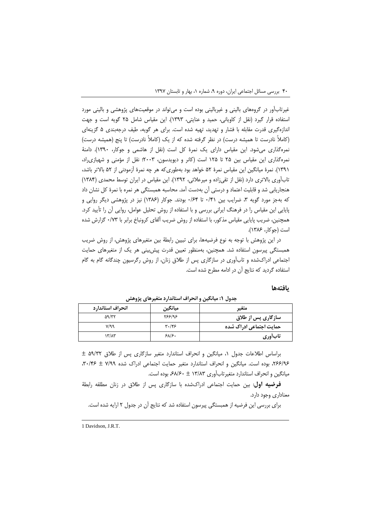غیرتابآور در گروههای بالینی و غیربالینی بوده است و می¤واند در موقعیتهای پژوهشی و بالینی مورد استفاده قرار گیرد (نقل از کاویانی، حمید و عنایتی، ۱۳۹۳). این مقیاس شامل ۲۵ گویه است و جهت اندازهگیری قدرت مقابله با فشار و تهدید، تهیه شده است. برای هر گویه، طیف درجهبندی ۵ گزینهای (کاملاً نادرست تا همیشه درست) در نظر گرفته شده که از یک (کاملاً نادرست) تا پنج (همیشه درست) نمره گذاری می شود. این مقیاس دارای یک نمرهٔ کل است (نقل از هاشمی و جوکار، ۱۳۹۰). دامنهٔ نمره گذاری این مقیاس بین ۲۵ تا ۱۲۵ است (کانر و دیویدسون، ۲۰۰۳؛ نقل از مؤمنی و شهبازی راد، (۱۳۹۱). نمرهٔ میانگین این مقیاس نمرهٔ ۵۲ خواهد بود بهطوری که هر چه نمرهٔ آزمودنی از ۵۲ بالاتر باشد، تابآوری بالاتری دارد (نقل از تقی;اده و میرعلائی، ۱۳۹۲). این مقیاس در ایران توسط محمدی (۱۳۸۴) هنجاریابی شد و قابلیت اعتماد و درستی آن بهدست آمد. محاسبه همبستگی هر نمره با نمرهٔ کل نشان داد که بهجز مورد گویه ۳، ضرایب بین ۰/۴۱ تا ۰/۶۴ بودند. جوکار (۱۳۸۶) نیز در پژوهشی دیگر روایی و پایایی این مقیاس را در فرهنگ ایرانی بررسی و با استفاده از روش تحلیل عوامل، روایی اَن را تأیید کرد. همچنین، ضریب پایایی مقیاس مذکور، با استفاده از روش ضریب آلفای کرونباخ برابر با ۰/۷۳ گزارش شده است (جوكار، ١٣٨۶).

در این پژوهش با توجه به نوع فرضیهها، برای تبیین رابطهٔ بین متغیرهای پژوهش، از روش ضریب همبستگی پیرسون استفاده شد. همچنین، بهمنظور تعیین قدرت پیش بینی هر یک از متغیرهای حمایت اجتماعی ادراکشده و تابآوری در سازگاری پس از طلاق زنان، از روش رگرسیون چندگانه گام به گام استفاده گردید که نتایج آن در ادامه مطرح شده است.

#### بافتهها

| انحراف استاندارد          | ميانگين                       | متغير                   |
|---------------------------|-------------------------------|-------------------------|
| $\Delta$ 9/٣٢             | 588198                        | سازگاری پس از طلاق      |
| V/99                      | $\mathbf{r} \cdot \mathbf{r}$ | حمایت اجتماعی ادراک شده |
| $\mathcal{N}/\mathcal{N}$ | $S$ $\Lambda$ $S$ .           | تابأورى                 |

جدول ۱: میانگین و انحراف استاندارد متغیرهای پژوهش

 $\pm$  99/۳۲ براساس اطلاعات جدول ۱، میانگین و انحراف استاندارد متغیر سازگاری پس از طلاق ۵۹/۳۲ ۲۶۶/۹۶، بوده است. میانگین و انحراف استاندارد متغیر حمایت اجتماعی ادراک شده ۷/۹۹ ± ۳۰/۴۶. میانگین و انحراف استاندارد متغیر تاب آوری ۱۳/۸۳ ± ۶۸/۶۰ بوده است.

فرضیه اول: بین حمایت اجتماعی ادراکشده با سازگاری پس از طلاق در زنان مطلقه رابطهٔ معناداری وجود دارد.

برای بررسی این فرضیه از همبستگی پیرسون استفاده شد که نتایج آن در جدول ۲ ارایه شده است.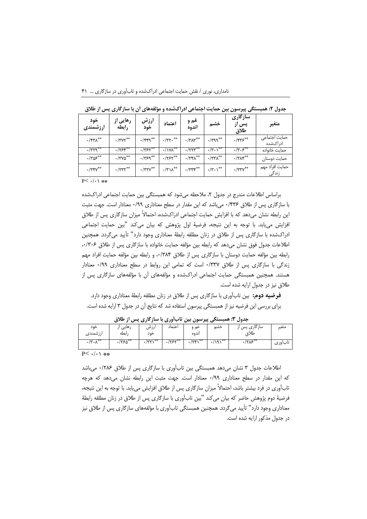| ້<br>, <i>.</i><br>.<br>. .<br>۔<br>ر<br>ت |                                                                                      |                            |                            |                                     |                                 |                                                  |                           |
|--------------------------------------------|--------------------------------------------------------------------------------------|----------------------------|----------------------------|-------------------------------------|---------------------------------|--------------------------------------------------|---------------------------|
| خود<br>ارزشمندی                            | رهایی از<br>رابطه                                                                    | ارزش<br>خود                | اعتماد                     | غم و<br>اندوه                       | خشم                             | سازگاری<br>پس از<br>طلاق                         | متغير                     |
| $\cdot$ /۴۳ $\Lambda^{**}$                 | $\cdot$ /٣٧٢**                                                                       | $\cdot$ /۴۴۹*              | $\cdot$ /٣٢٠ <sup>**</sup> | $\cdot$ /٣٨٣**                      | $\cdot$ /٣٩٩**                  | $\cdot$ /۴۳۶**                                   | حمايت اجتماعى<br>ادراكشده |
| $\cdot$ /٣٢٩                               | $\cdot$ / $\overline{Y}$ $\overline{Y}$ $\overline{Y}$ $\overline{Y}$ $\overline{Y}$ | $\cdot$ /۳۶۲**             | $\cdot$ / $\sqrt{2}$       |                                     | $\cdot/\Upsilon \cdot \Upsilon$ | $\cdot/\overline{\Upsilon\cdot\mathcal{S}^{**}}$ | حماىت خانواده             |
| $\cdot$ /٣ $\overline{\mathcal{S}^{**}}$   | $\cdot$ /٣٧٥**                                                                       | $\cdot$ /٣۶٩ <sup>**</sup> | $\cdot$ /۲۶۲**             | $\cdot$ /٣۴ $\Lambda$ <sup>**</sup> | $\cdot$ /٣٣ $\Lambda$           | $\cdot$ /٣٨۴**                                   | حمايت دوستان              |
| $\cdot$ /٣۴٧**                             | $\cdot$ /۲۳۲**                                                                       | $\cdot$ /٣٢٧ $^{\ast\ast}$ | $\cdot$ /٣١٨ <sup>**</sup> | $\cdot$ /٣٣۴                        | $\cdot/\Upsilon \cdot \Upsilon$ | $\cdot$ /٣٣٧**                                   | حمايت افراد مهم<br>زندگی  |
|                                            |                                                                                      |                            |                            |                                     |                                 |                                                  |                           |

جدول ۲: همبستگی پیرسون بین حمایت اجتماعی ادراکشده و مؤلفههای آن با سازگاری پس از طلاق

 $P< -/ -$ 

براساس اطلاعات مندرج در جدول ۲، ملاحظه میشود که همبستگی بین حمایت اجتماعی ادراکشده با سازگاری پس از طلاق ۱۴۳۶ میباشد که این مقدار در سطح معناداری ۰/۹۹ معنادار است. جهت مثبت این رابطه نشان میدهد که با افزایش حمایت اجتماعی ادراکشده، احتمالاً میزان سازگاری پس از طلاق افزایش می یابد. با توجه به این نتیجه، فرضیهٔ اول پژوهش که بیان میکند "بین حمایت اجتماعی ادراکشده با سازگاری پس از طلاق در زنان مطلقه رابطهٔ معناداری وجود دارد" تأیید میگردد. همچنین اطلاعات جدول فوق نشان می دهد که رابطه بین مؤلفه حمایت خانواده با سازگاری پس از طلاق ۰/۳۰۶، رابطه بين مؤلفه حمايت دوستان با سازگاري پس از طلاق ٠/٣٨۴، و رابطه بين مؤلفه حمايت افراد مهم زندگی با سازگاری پس از طلاق ۰/۳۳۷ است که تمامی این روابط در سطح معناداری ۰/۹۹ معنادار هستند. همچنین همبستگی حمایت اجتماعی ادراکشده و مؤلفههای آن با مؤلفههای سازگاری پس از طلاق نیز در جدول ارایه شده است.

**فرضیه دوم:** بین تابآوری با سازگاری پس از طلاق در زنان مطلقه رابطهٔ معناداری وجود دارد. برای بررسی این فرضیه نیز از همبستگی پیرسون استفاده شد که نتایج آن در جدول ۳ ارایه شده است.

|                                  | -<br>.             | -                 | $\cdot$             | -----                                 |       | - - -                 |                         |
|----------------------------------|--------------------|-------------------|---------------------|---------------------------------------|-------|-----------------------|-------------------------|
| خود                              | ۰هایی ٫٫           | ارزش              | اعتماد              | عم و                                  | خشم   | سازگاری پس ا          | متغير                   |
| ارزشمندى                         | رابطه              | خو د              |                     | اندوه                                 |       | طلاة                  |                         |
| 泰泰<br>$\cdot/\tau \cdot \lambda$ | $\cdot$ $750^{**}$ | $I = \sqrt{2\pi}$ | $1 \times 10^{-10}$ | $\overline{(\Upsilon \Upsilon)^{**}}$ | ""۱۹۱ | $\cdot/\sqrt{2\cdot}$ | $\mathbf{I}$<br>ںاب وری |

جدول ۳: همبستگی پیرسون بین تابآوری با سازگاری پس از طلاق

 $P< 1.1$  \*\*

اطلاعات جدول ۳ نشان میدهد همبستگی بین تابآوری با سازگاری پس از طلاق ۱۲۸۶۰ می باشد که این مقدار در سطح معناداری ۰/۹۹ معنادار است. جهت مثبت این رابطه نشان میدهد که هرچه تابآوری در فرد بیشتر باشد، احتمالاً میزان سازگاری پس از طلاق افزایش می یابد. با توجه به این نتیجه، فرضیهٔ دوم پژوهش حاضر که بیان میکند "بین تابآوری با سازگاری پس از طلاق در زنان مطلقه رابطهٔ معناداری وجود دارد" تأیید می گردد. همچنین همبستگی تابآوری با مؤلفههای سازگاری پس از طلاق نیز در جدول مذکور ارایه شده است.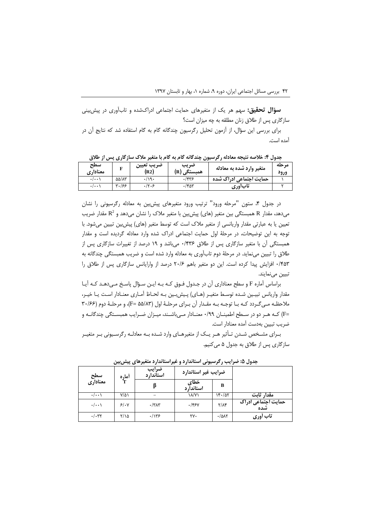**سؤال تحقیق:** سهم هر یک از متغیرهای حمایت اجتماعی ادراکشده و تابآوری در پیش بینی سازگاری پس از طلاق زنان مطلقه به چه میزان است؟

برای بررسی این سؤال، از آزمون تحلیل رگرسیون چندگانه گام به گام استفاده شد که نتایج آن در آمده است.

| ◡                   | J J V J J                  |            |                          | .<br>$\cdot$ $\cdot$     | .     |
|---------------------|----------------------------|------------|--------------------------|--------------------------|-------|
| سطح                 |                            | ضريب تعييز | صريب                     | متغیر وارد شده به معادله | مرحله |
| معناداري            |                            | (R2)       | (R)<br>همبستگ <i>ی ,</i> |                          | ورود  |
| $\cdot/\cdot\cdot$  | $\Delta\Delta/\Lambda\tau$ | ۰/۱۹۰      | ۰/۴۳۶                    | حمایت اجتماعی ادراک شده  |       |
| $\cdot$ / $\cdot$ \ | ۳۰/۶۶                      | .7.5       | $\cdot$ /۴۵۳             | تابأورى                  |       |

جدول ۴: خلاصه نتیجه معادله رگرسیون چندگانه گام به گام با متغیر ملاک سازگاری پس از طلاق

در جدول ۴، ستون "مرحله ورود" ترتیب ورود متغیرهای پیش بین به معادله رگرسیونی را نشان م دهد، مقدار R همبستگی بین متغیر (های) پیش بین با متغیر ملاک را نشان می دهد و R<sup>2</sup> مقدار ضریب تعیین یا به عبارتی مقدار واریانسی از متغیر ملاک است که توسط متغیر (های) پیش بین تبیین میشود. با توجه به این توضیحات، در مرحلهٔ اول حمایت اجتماعی ادراک شده وارد معادله گردیده است و مقدار همبستگی أن با متغیر سازگاری پس از طلاق ۱۴۳۶۰ میباشد و ۱۹ درصد از تغییرات سازگاری پس از طلاق را تبیین می نماید. در مرحلهٔ دوم تابآوری به معادله وارد شده است و ضریب همبستگی چندگانه به ٬۴۵۳ افزایش پیدا کرده است. این دو متغیر باهم ۲۰/۶ درصد از وارایانس سازگاری پس از طلاق را تبيين مينمايند.

براساس آماره F و سطح معناداري آن در جـدول فـوق كـه بـه ايـن سـؤال پاسـخ مـىدهـد كـه آيـا مقدار واریانس تبیـین شـده توسـط متغیـر (هـای) پـیش بـین بـه لحـاظ آمـاری معنـادار اسـت یـا خیـر، ملاحظه می گردد که با توجه به مقدار آن برای مرحلهٔ اول (F= ۵۵/۸۳)، و مرحلهٔ دوم (۲۰/۶۶ =F) کـه هـر دو در سـطح اطمينــان ۰/۹۹ معنــادار مــىباشــند، ميــزان ضــرايب همبســتگى چندگانــه و ضريب تبيين بهدست آمده معنادار است.

بـراي مشـخص شـدن تـأثير هـر يـک از متغيرهـاي وارد شـده بـه معادلـه رگرسـيوني بـر متغيـر سازگاری پس از طلاق به جدول ۵ می کنیم.

| سطح<br>معناداری    | آماره<br>T  | ضرايب<br>استاندا, د | ضرايب غير استاندارد |                 |                            |
|--------------------|-------------|---------------------|---------------------|-----------------|----------------------------|
|                    |             |                     | خطاى<br>استانداً, د | B               |                            |
| $\cdot/\cdot\cdot$ | $Y/\Delta$  |                     | ۱۸/۷۱               | $Yf - \Delta Y$ | مقدار ثابت                 |
| $\cdot/\cdot\cdot$ | 5/1.7       | $\cdot$ /٣٨٣        | $.$ /۴۶۷            | $Y/\Lambda f$   | حمایت اجتماعی ادراک<br>شده |
| $\cdot/\cdot$ ۳۲   | $Y/\lambda$ | .1155               | ٢٧٠                 | $-10AT$         | تاب أورى                   |

جدول ۵: ضرایب رگرسیونی استاندارد و غیراستاندارد متغیرهای پیش بین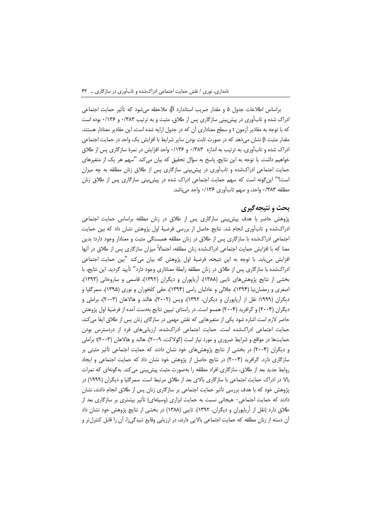براساس اطلاعات جدول ۵ و مقدار ضریب استاندارد β، ملاحظه میشود که تأثیر حمایت اجتماعی ادراک شده و تابآوری در پیش بینی سازگاری پس از طلاق، مثبت و به ترتیب ۰/۳۸۳ و ۰/۱۳۶ بوده است که با توجه به مقادیر آزمون t و سطح معناداری آن که در جدول ارایه شده است، این مقادیر معنادار هستند. مقدار مثبت β نشان میدهد که در صورت ثابت بودن سایر شرایط با افزایش یک واحد در حمایت اجتماعی ادراک شده و تابآوری، به ترتیب به اندازه ۰/۳۸۳ و ۱۳۶۶۰ واحد افزایش در نمرهٔ سازگاری پس از طلاق خواهيم داشت. با توجه به اين نتايج، ياسخ به سؤال تحقيق كه بيان مي كند "سهم هر يک از متغيرهاي حمایت اجتماعی ادراکشده و تابآوری در پیش بینی سازگاری پس از طلاق زنان مطلقه به چه میزان است؟" این گونه است که سهم حمایت اجتماعی ادراک شده در پیش بینی سازگاری پس از طلاق زنان مطلقه ٠/٣٨٣ واحد، و سهم تاب آوري ٠/١٣۶ واحد مي باشد.

#### بحث و نتیجهگیری

پژوهش حاضر با هدف پیش بینی سازگاری پس از طلاق در زنان مطلقه براساس حمایت اجتماعی ادراکشده و تابآوری انجام شد. نتایج حاصل از بررسی فرضیهٔ اول پژوهش نشان داد که بین حمایت اجتماعی ادراکشده با سازگاری پس از طلاق در زنان مطلقه همبستگی مثبت و معنادار وجود دارد؛ بدین معنا که با افزایش حمایت اجتماعی ادراکشده زنان مطلقه، احتمالاً میزان سازگاری پس از طلاق در أنها افزایش می یابد. با توجه به این نتیجه، فرضیهٔ اول پژوهش که بیان میکند "بین حمایت اجتماعی ادراکشده با سازگاری پس از طلاق در زنان مطلقه رابطهٔ معناداری وجود دارد" تأیید گردید. این نتایج، با بخشی از نتایج پژوهشهای تایبی (۱۳۸۸)، اَریاپوران و دیگران (۱۳۹۲)، قاسمی و ساروخانی (۱۳۹۳)، اصغری و رمضان نیا (۱۳۹۴)، جلالی و عادلیان راسی (۱۳۹۴)، حقی کلخوران و نوری (۱۳۹۵)، سمرگلیا و دیگران (۱۹۹۹؛ نقل از آریاپوران و دیگران، ۱۳۹۲)، ویس (۲۰۰۲)، هالند و هالاهان (۲۰۰۳)، براملی و دیگران (۲۰۰۴) و گرافرید (۲۰۰۴) همسو است. در راستای تبیین نتایج بهدست آمده از فرضیهٔ اول پژوهش حاضر لازم است اشاره شود یکی از متغیرهایی که نقش مهمی در سازگای زنان پس از طلاق ایفا می کند، حمایت اجتماعی ادراکشده است. حمایت اجتماعی ادراکشده، ارزیابیهای فرد از دردسترس بودن حمایتها در مواقع و شرایط ضروری و مورد نیاز است (گولاکت، ۲۰۰۹). هالند و هالاهان (۲۰۰۳)؛ براملی و دیگران (۲۰۰۴) در بخشی از نتایج پژوهشهای خود نشان دادند که حمایت اجتماعی تأثیر مثبتی بر سازگاری دارد. گرافرید (۲۰۰۴) در نتایج حاصل از پژوهش خود نشان داد که حمایت اجتماعی و ایجاد روابط جدید بعد از طلاق، سازگاری افراد مطلقه را بهصورت مثبت پیش بینی می کند. بهگونهای که نمرات بالا در ادراک حمایت اجتماعی با سازگاری بالای بعد از طلاق مرتبط است. سمرگلیا و دیگران (۱۹۹۹) در پژوهش خود که با هدف بررسی تأثیر حمایت اجتماعی بر سازگاری زنان پس از طلاق انجام دادند، نشان دادند که حمایت اجتماعی– هیجانی نسبت به حمایت ابزاری (وسیلهای) تأثیر بیشتری بر سازگاری بعد از طلاق دارد (نقل از آریاپوران و دیگران، ۱۳۹۲). تایبی (۱۳۸۸) در بخشی از نتایج پژوهش خود نشان داد آن دسته از زنان مطلقه که حمایت اجتماعی بالایی دارند، در ارزیابی وقایع تنیدگیزا، آن را قابل کنترل تر و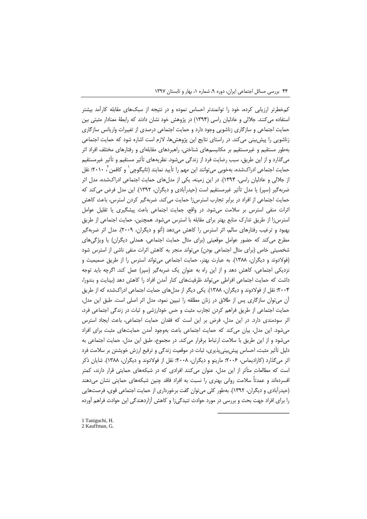کمخطرتر ارزیابی کرده، خود را توانمندتر احساس نموده و در نتیجه از سبکهای مقابله کارآمد بیشتر استفاده می کنند. جلالی و عادلیان راسی (۱۳۹۴) در پژوهش خود نشان دادند که رابطهٔ معنادار مثبتی بین حمایت اجتماعی و سازگاری زناشویی وجود دارد و حمایت اجتماعی درصدی از تغییرات واریانس سازگاری زناشویی را پیش بینی میکند. در راستای نتایج این پژوهش ها، لازم است اشاره شود که حمایت اجتماعی بهطور مستقیم و غیرمستقیم بر مکانیسمهای شناختی، راهبردهای مقابلهای و رفتارهای مختلف افراد اثر میگذارد و از این طریق، سبب رضایت فرد از زندگی می شود. نظریههای تأثیر مستقیم و تأثیر غیرمستقیم حمایت اجتماعی ادراکشده، بهخوبی میتوانند این مهم را تأیید نمایند (تانیگوچی` و کافمن ً` ۲۰۱۰؛ نقل از جلالی و عادلیان راسی، ۱۳۹۴). در این زمینه، یکی از مدلهای حمایت اجتماعی ادراکشده، مدل اثر ضربهگیر (سپر) یا مدل تأثیر غیرمستقیم است (حیدرآبادی و دیگران، ۱۳۹۲). این مدل فرض می کند که حمایت اجتماعی از افراد در برابر تجارب استرسiا حمایت می کند. ضربهگیر کردن استرس، باعث کاهش اثرات منفی استرس بر سلامت میشود. در واقع، جمایت اجتماعی باعث پیشگیری یا تقلیل عوامل استرس;ا از طریق تدارک منابع بهتر برای مقابله با استرس می شود. همچنین، حمایت اجتماعی از طریق بهبود و ترغیب رفتارهای سالم، اثر استرس را کاهش میدهد (آئو و دیگران، ۲۰۰۹). مدل اثر ضربهگیر مطرح می کند که حضور عوامل موقعیتی (برای مثال حمایت اجتماعی، همدلی دیگران) یا ویژگی های شخصیتی خاص (برای مثال اجتماعی بودن) می تواند منجر به کاهش اثرات منفی ناشی از استرس شود (فولادوند و دیگران، ۱۳۸۸). به عبارت بهتر، حمایت اجتماعی می تواند استرس را از طریق صمیمیت و نزدیکی اجتماعی، کاهش دهد و از این راه به عنوان یک ضربهگیر (سپر) عمل کند. اگرچه باید توجه داشت که حمایت اجتماعی افراطی می تواند ظرفیتهای کنار آمدن افراد را کاهش دهد (بینایت و بندورا، ۲۰۰۴؛ نقل از فولادوند و دیگران، ۱۳۸۸). یکی دیگر از مدلهای حمایت اجتماعی ادراکشده که از طریق آن می توان سازگاری پس از طلاق در زنان مطلقه را تبیین نمود، مدل اثر اصلی است. طبق این مدل، حمایت اجتماعی از طریق فراهم کردن تجارب مثبت و حس خودارزشی و ثبات در زندگی اجتماعی فرد، اثر سودمندی دارد. در این مدل، فرض بر این است که فقدان حمایت اجتماعی، باعث ایجاد استرس میشود. این مدل، بیان می کند که حمایت اجتماعی باعث بهوجود آمدن حمایتهای مثبت برای افراد می شود و از این طریق با سلامت ارتباط برقرار می کند. در مجموع، طبق این مدل، حمایت اجتماعی به دلیل تأثیر مثبت، احساس پیش بینی پذیری، ثبات در موقعیت زندگی و ترفیع ارزش خویشتن بر سلامت فرد اثر میگذارد (کارادیماس، ۲۰۰۶؛ مارینو و دیگران، ۲۰۰۸؛ نقل از فولادوند و دیگران، ۱۳۸۸). شایان ذکر است که مطالعاتِ متأثر از این مدل، عنوان میکنند افرادی که در شبکههای حمایتی قرار دارند، کمتر افسردهاند و عمدتاً سلامت روانی بهتری را نسبت به افراد فاقد چنین شبکههای حمایتی نشان میدهند (حیدرآبادی و دیگران، ۱۳۹۲). بهطور کلی میتوان گفت برخورداری از حمایت اجتماعی قوی، فرصتهایی را برای افراد جهت بحث و بررسی در مورد حوادث تنیدگیزا و کاهش آزاردهندگی این حوادث فراهم آورده

1 Taniguchi, H.

<sup>2</sup> Kauffman, G.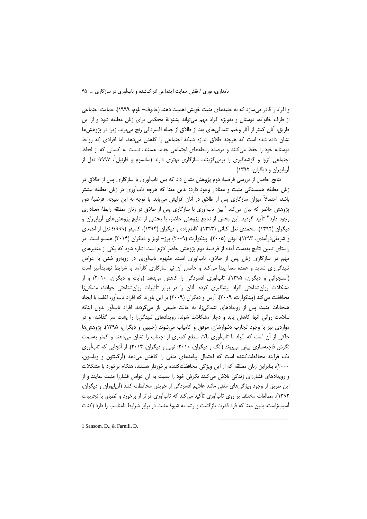و افراد را قادر میسازد که به جنبههای مثبت خویش اهمیت دهند (جانوف– بلوم، ۱۹۹۹). حمایت اجتماعی از طرف خانواده، دوستان و بهویژه افراد مهم میتواند پشتوانهٔ محکمی برای زنان مطلقه شود و از این طریق، آنان کمتر از آثار وخیم تنیدگیهای بعد از طلاق از جمله افسردگی رنج می,برند. زیرا در پژوهشها نشان داده شده است که هرچند طلاق اندازه شبکهٔ اجتماعی را کاهش میدهد، اما افرادی که روابط دوستانه خود را حفظ می کنند و درصدد رابطههای اجتماعی جدید هستند، نسبت به کسانی که از لحاظ اجتماعی انزوا و گوشهگیری را برمیگزینند، سازگاری بهتری دارند (سانسوم و فارنیل`، ۱۹۹۷؛ نقل از آریایوران و دیگران، ۱۳۹۲).

نتايج حاصل از بررسي فرضيهٔ دوم پژوهش نشان داد كه بين تابآوري با سازگاري پس از طلاق در زنان مطلقه همبستگی مثبت و معنادار وجود دارد؛ بدین معنا که هرچه تابآوری در زنان مطلقه بیشتر باشد، احتمالاً میزان سازگاری پس از طلاق در آنان افزایش مییابد. با توجه به این نتیجه، فرضیهٔ دوم پژوهش حاضر که بیان می کند "بین تابآوری با سازگاری پس از طلاق در زنان مطلقه رابطهٔ معناداری وجود دارد" تأييد گرديد. اين بخش از نتايج پژوهش حاضر، با بخشي از نتايج پژوهشهاي آرياپوران و دیگران (۱۳۹۲)، محمدی نعل کنانی (۱۳۹۳)، کاطعزاده و دیگران (۱۳۹۴)، کامیفر (۱۹۹۹؛ نقل از احمدی و شریفیدرآمدی، ۱۳۹۳)، بوئن (۲۰۰۵)، پینکوآرت (۲۰۰۹) پرز– لوپز و دیگران (۲۰۱۴) همسو است. در راستای تبیین نتایج بهدست آمده از فرضیهٔ دوم پژوهش حاضر لازم است اشاره شود که یکی از متغیرهای مهم در سازگاری زنان پس از طلاق، تابآوری است. مفهوم تابآوری در روبهرو شدن با عوامل تنیدگی;ای شدید و عمده معنا پیدا می کند و حاصل آن نیز سازگاری کارآمد با شرایط تهدیدآمیز است (اَسنجرانی و دیگران، ۱۳۹۵). تابآوری افسردگی را کاهش میدهد (وایت و دیگران، ۲۰۱۰) و از مشکلات روان شناختی افراد پیشگیری کرده، آنان را در برابر تأثیرات روان شناختی حوادث مشکل;ا محافظت می کند (پینکواّرت، ۲۰۰۹). آرس و دیگران (۲۰۰۹) بر این باورند که افراد تابآور، اغلب با ایجاد هیجانات مثبت پس از رویدادهای تنیدگیزا، به حالت طبیعی باز میگردند. افراد تابآور بدون اینکه سلامت روانی آنها کاهش یابد و دچار مشکلات شوند، رویدادهای تنیدگیزا را پشت سر گذاشته و در مواردی نیز با وجود تجارب دشوارشان، موفق و کامیاب میشوند (حبیبی و دیگران، ۱۳۹۵). یژوهش ها حاکی از آن است که افراد با تابآوری بالا، سطح کمتری از اجتناب را نشان میدهند و کمتر بهسمت نگرش فاجعهسازی پیش میروند (اُنگ و دیگران، ۲۰۱۰؛ توبی و دیگران، ۲۰۱۴). از آنجایی که تابآوری یک فرایند محافظت کننده است که احتمال پیامدهای منفی را کاهش میدهد (اَرگینتون و ویلسون، ۲۰۰۰)، بنابراین زنان مطلقه که از این ویژگی محافظتکننده برخوردار هستند، هنگام برخورد با مشکلات و رویدادهای فشارزای زندگی تلاش میکنند نگرش خود را نسبت به آن عوامل فشارزا مثبت نمایند و از این طریق از وجود ویژگیهای منفی مانند علایم افسردگی از خویش محافظت کنند (اَریاپوران و دیگران، ۱۳۹۲). مطالعات مختلف بر روی تابآوری تأکید می کند که تابآوری فراتر از برخورد و انطباق با تجربیات آسیب;است. بدین معنا که فرد قدرت بازگشت و رشد به شیوهٔ مثبت در برابر شرایط نامناسب را دارد (کنات

1 Sansom, D., & Farnill, D.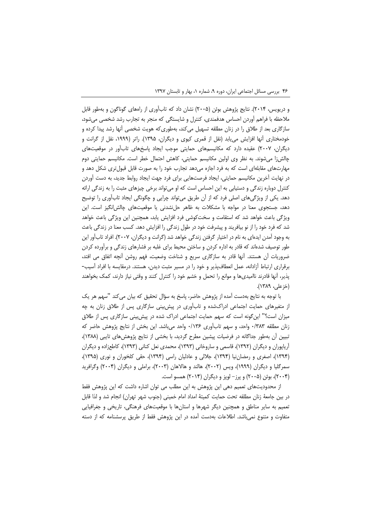و دریویس، ۲۰۱۴). نتایج پژوهش بوئن (۲۰۰۵) نشان داد که تاب[وری از راههای گوناگون و بهطور قابل ملاحظه با فراهم أوردن احساس هدفمندي، كنترل و شايستگي كه منجر به تجارب رشد شخصي مي شود، سازگاری بعد از طلاق را در زنان مطلقه تسهیل میکند، بهطوریکه هویت شخصی آنها رشد پیدا کرده و خودمختاری آنها افزایش می یابد (نقل از قمری کیوی و دیگران، ۱۳۹۵). راتر (۱۹۹۹، نقل از گرانت و دیگران، ۲۰۰۷) عقیده دارد که مکانیسمهای حمایتی موجب ایجاد پاسخهای تابآور در موقعیتهای چالش;ا میشوند. به نظر وی اولین مکانیسم حمایتی، کاهش احتمال خطر است. مکانیسم حمایتی دوم مهارتهای مقابلهای است که به فرد اجازه میدهد تجارب خود را به صورت قابل قبولتری شکل دهد و در نهایت آخرین مکانیسم حمایتی، ایجاد فرصتهایی برای فرد جهت ایجاد روابط جدید، به دست آوردن کنترل دوباره زندگی و دستیابی به این احساس است که او می تواند برخی چیزهای مثبت را به زندگی ارائه دهد. یکی از ویژگیهای اصلی فرد که از آن طریق میتواند چرایی و چگونگی ایجاد تابآوری را توضیح دهد، جستجوی معنا در مواجه با مشکلات به ظاهر حل نشدنی یا موقعیتهای چالشانگیز است. این ویژگی باعث خواهد شد که استقامت و سختکوشی فرد افزایش یابد، همچنین این ویژگی باعث خواهد شد که فرد خود را از نو بیافریند و پیشرفت خود در طول زندگی را افزایش دهد. کسب معنا در زندگی باعث به وجود آمدن ایدمای به نام در اختیار گرفتن زندگی خواهد شد (گرانت و دیگران، ۲۰۰۷). افراد تابآور این طور توصیف شدهاند که قادر به اداره کردن و ساختن محیط برای غلبه بر فشارهای زندگی و برآورده کردن ضروریات اُن هستند. آنها قادر به سازگاری سریع و شناخت وضعیت، فهم روشن آنچه اتفاق می افتد، برقراری ارتباط آزادانه، عمل انعطافپذیر و خود را در مسیر مثبت دیدن، هستند. درمقایسه با افراد آسیب-پذیر، آنها قادرند ناامیدیها و موانع را تحمل و خشم خود را کنترل کنند و وقتی نیاز دارند، کمک بخواهند (خزعلي، ١٣٨٩).

با توجه به نتایج بهدست آمده از پژوهش حاضر، پاسخ به سؤال تحقیق که بیان می کند "سهم هر یک از متغیرهای حمایت اجتماعی ادراکشده و تابآوری در پیش بینی سازگاری پس از طلاق زنان به چه میزان است؟" این گونه است که سهم حمایت اجتماعی ادراک شده در پیش بینی سازگاری پس از طلاق زنان مطلقه ۰/۳۸۳ واحد، و سهم تاب آوری ۰/۱۳۶ واحد می باشد. این بخش از نتایج پژوهش حاضر که تبیین أن بهطور جداگانه در فرضیات پیشین مطرح گردید، با بخشی از نتایج پژوهش های تایبی (۱۳۸۸)، آریاپوران و دیگران (۱۳۹۲)، قاسمی و ساروخانی (۱۳۹۳)، محمدی نعل کنانی (۱۳۹۳)، کاطعزاده و دیگران (۱۳۹۴)، اصغری و رمضان نیا (۱۳۹۴)، جلالی و عادلیان راسی (۱۳۹۴)، حقی کلخوران و نوری (۱۳۹۵)، سمرگلیا و دیگران (۱۹۹۹)، ویس (۲۰۰۲)، هالند و هالاهان (۲۰۰۳)، براملی و دیگران (۲۰۰۴) وگرافرید (۲۰۰۴)، بوئن (۲۰۰۵) و یرز- لویز و دیگران (۲۰۱۴) همسو است.

از محدودیتهای تعمیم دهی این پژوهش به این مطلب می توان اشاره داشت که این پژوهش فقط در بين جامعهٔ زنان مطلقه تحت حمايت كميتهٔ امداد امام خميني (جنوب شهر تهران) انجام شد و لذا قابل تعمیم به سایر مناطق و همچنین دیگر شهرها و استانها با موقعیتهای فرهنگی، تاریخی و جغرافیایی متفاوت و متنوع نمی باشد. اطلاعات بهدست آمده در این پژوهش فقط از طریق پرسشنامه که از دسته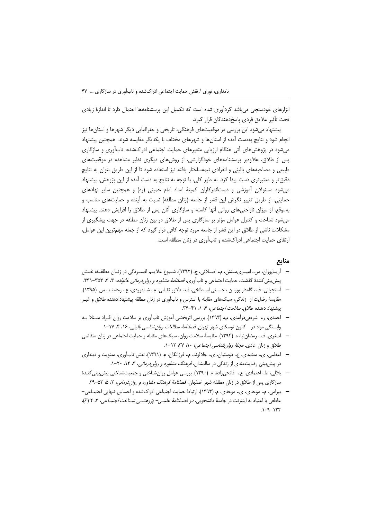ابزارهای خودسنجی میباشد گردآوری شده است که تکمیل این پرسشنامهها احتمال دارد تا اندازهٔ زیادی تحت تأثير علايق فردي پاسخ دهندگان قرار گيرد.

پیشنهاد میشود این بررسی در موقعیتهای فرهنگی، تاریخی و جغرافیایی دیگر شهرها و استانها نیز انجام شود و نتایج بهدست آمده از استانها و شهرهای مختلف با یکدیگر مقایسه شوند. همچنین پیشنهاد میشود در پژوهشهای آتی هنگام ارزیابی متغیرهای حمایت اجتماعی ادراکشده، تابآوری و سازگاری پس از طلاق، علاوهبر پرسشنامههای خودگزارشی، از روشهای دیگری نظیر مشاهده در موقعیتهای طبیعی و مصاحبههای بالینی و انفرادی نیمهساختار یافته نیز استفاده شود تا از این طریق بتوان به نتایج دقیقتر و معتبرتری دست پیدا کرد. به طور کلی، با توجه به نتایج به دست آمده از این پژوهش، پیشنهاد میشود مسئولان آموزشی و دستاندرکاران کمیتهٔ امداد امام خمینی (ره) و همچنین سایر نهادهای حمایتی، از طریق تغییر نگرش این قشر از جامعه (زنان مطلقه) نسبت به آینده و حمایتهای مناسب و بهموقع، از میزان ناراحتیهای روانی آنها کاسته و سازگاری آنان پس از طلاق را افزایش دهند. پیشنهاد می شود شناخت و کنترل عوامل مؤثر بر سازگاری پس از طلاق در بین زنان مطلقه در جهت پیشگیری از مشکلات ناشی از طلاق در این قشر از جامعه مورد توجه کافی قرار گیرد که از جمله مهمترین این عوامل، ارتقای حمایت اجتماعی ادراکشده و تابآوری در زنان مطلقه است.

#### منابع

- آریـاپوران، س.، امیـری۳عـنش، م.، اصــلانی، ج. (۱۳۹۲). شــیوع علایــم افســردگی در زنــان مطلقــه: نقــش پیش بینی کنندهٔ گذشت، حمایت اجتماعی و تابآوری. *فصلنامهٔ مشاوره و روان درمانی خانواده*، ۳، ۳۵۳–۳۳۱.
- آسنجرانی، ف، گلهدار پور، ن.، حسـنی اسـطلخی، ف، دلاور نقـابی، م.، شـاهوردی، ع.، رجامنـد، س. (۱۳۹۵). مقایسهٔ رضایت از زندگی، سبکهای مقابله با استرس و تابآوری در زنان مطلقه پیشنهاد دهنده طلاق و غیـر پیشنهاد دهنده طلاق. *سلامت اجتماعی،* ۴، ۱، ۴۱–۳۴.
- احمدی، ر.، شریفیدرآمدی، پ. (۱۳۹۳). بررسی اثربخشی آموزش تابآوری بر سلامت روان افـراد مبـتلا بـه وابستگی مواد در کانون توسکای شهر تهران. *فصلنامهٔ مطالعات روان شناسی بالینی، ۱۶، ۴، ۱۷*-۱.
- اصغری، ف.، رمضان نیا، ه. (۱۳۹۴). مقایسهٔ سلامت روان، سبکهای مقابله و حمایت اجتماعی در زنان متقاضی طلاق و زنان عادی. *مجلهٔ روان شناسی اجتماعی، ۱۰، ۳۷، ۱۲*-۱.
- اعظمی، ی.، معتمدی، ع.، دوستیان، ی.، جلالوند، م.، فرزانگان، م. (۱۳۹۱). نقش تابآوری، معنویت و دینداری در پیش بینی رضایتمندی از زندگی در سالمندان. *فرهنگ مشاوره و روان درمانی*، ۳، ۱۲، ۲۰-۱.
- بلالي، ط.، اعتمادي، ع.، فاتحىزاده، م. (١٣٩٠). بررسي عوامل روان شناختي و جمعيتشناختي پيش بيني كنندهٔ سازگاری پس از طلاق در زنان مطلقه شهر اصفهان. *فصلنامهٔ فرهنگ مشاوره و روان درمانی، ۲، ۵، ۵*۳–۲۹.
- بیرامی، م.، موحدی، ی.، موحدی، م. (۱۳۹۳). ارتباط حمایت اجتماعی ادراکشده و احساس تنهایی اجتمـاعی-عاطفي با اعتياد به اينترنت در جامعهٔ دانشجويي. *دو فصلنامهٔ علمي- پژوهشمي شـناخت اجتمـاعي*، ٣، ٢ (۶)،  $1.9 - 177$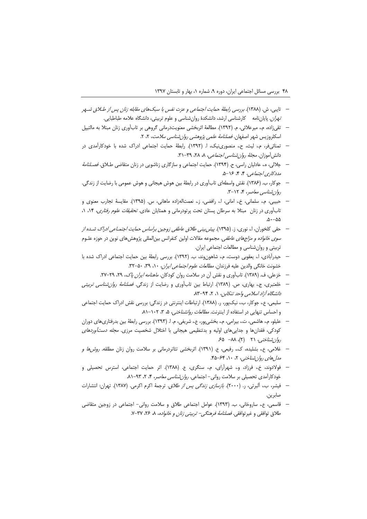- تايبي، ش. (١٣٨٨). بررسي رابطهٔ حمايت اجتماعي و عزت نفس با سبكهاي مقابله زنان پس از طلاق شـهر *تهران*. پایاننامه کارشناسی ارشد، دانشکدهٔ روانشناسی و علوم تربیتی، دانشگاه علامه طباطبایی.
- تقىزاده، م.، ميرعلائي، م. (١٣٩٢). مطالعة اثربخشي معنويتدرماني گروهي بر تابآوري زنان مبتلا به مالتيپل اسکلروزیس شهر اصفهان. *فصلنامهٔ علمی پژوهشی روان شناسی سلامت*، ۲، ۲.
- تمنائی فر، م.، لیث، ح.، منصوری،نیک، ا. (۱۳۹۲). رابطهٔ حمایت اجتماعی ادراک شده با خودکارآمدی در دانش آموزان. *مجلهٔ روان شناسی اجتماعی، ۸، ۲۸، ۳۹*-۳۱.
- جلالی، ه.، عادلیان راسی، ح. (۱۳۹۴). حمایت اجتماعی و سازگاری زناشویی در زنان متقاضی طلاق. *فصلنامهٔ*  $\overline{\phantom{0}}$ مدد کاری اجتماعی، ۴، ۴، ۱۶-۵.
- جوكار، ب. (١٣٨۶). نقش واسطهاي تابآوري در رابطهٔ بين هوش هيجاني و هوش عمومي با رضايت از زندگي. روان شناسی معاصر، ۴، ۲۱۲-۳.
- حبيبي، م.، سلماني، خ.، اماني، ا.، رافضي، ز.، نعمتالهزاده ماهاني، س. (١٣٩۵). مقايسة تجارب معنوى و تابآوری در زنان مبتلا به سرطان پستان تحت پرتودرمانی و همتایان عادی. *تحقیقات علوم رفتاری*، ۱۴، ۱.  $\Delta - \Delta \Delta$
- حقی کلخوران، ا.، نوری، ز. (۱۳۹۵). *پیش بینی طلاق عاطفی زوجین براساس حمایت اجتمـاعی ادراک شـده از سوی خانواده و مزاجهای عاطفی*. مجموعه مقالات اولین کنفرانس بین|لمللی پژوهشهای نوین در حوزه علـوم تربیتی و روان شناسی و مطالعات اجتماعی ایران.
- حیدرآبادی، ا.، یعقوبی دوست، م.، شاهونوند، ب. (١٣٩٢). بررسی رابطهٔ بین حمایت اجتماعی ادراک شده با خشونت خانگی والدین علیه فرزندان. *مطالعات علوم اجتماعی ایران، ۵۰، ۴۹، ۵۰*-۳۲.
	- خزعلی، ف. (۱۳۸۹). تابآوری و نقش آن در سلامت روان کودکان. *ماهنامه ایران پاک، ۲۹، ۲۹–۲*۷.
- خلعتبری، ج.، بهاری، ص. (۱۳۸۹). ارتباط بین تاباًوری و رضایت از زندگی. *فصلنامهٔ روان شناسی تربیتی* دانشگاه آزاد اسلامی واحد تنکابن، ۱، ۲، ۹۴-۸۳.
- سلیمی، ع.، جوکار، ب.، نیکپور، ر. (۱۳۸۸). ارتباطات اینترنتی در زندگی: بررسی نقش ادراک حمایت اجتماعی و احساس تنهایی در استفاده از اینترنت. *مطالعات روانشناختی، ۵، ۳، ۱*۰۲–۸۱.
- علیلو، م.، هاشمی، ت.، بیرامی، م.، بخشی پور، ع.، شریفی، م. ا. (۱۳۹۳). بررسی رابطهٔ بین بدرفتاریهای دوران کودکی، فقدانها و جداییهای اولیه و بدتنظیمی هیجانی با اختلال شخصیت مرزی. *مجله دستأوردهای* روان شناختی، ۲۱ (۲)، ۸۸– ۶۵
- غلامی، ع.، بشلیده، ک.، رفیعی، ع. (۱۳۹۱). اثربخشی تئاتردرمانی بر سلامت روان زنان مطلقه. *روش ها و* مدل های روان شناختبی، ۲، ۱۰، ۶۴–۴۵.
- فولادوند، خ.، فرزاد، و.، شهرآرای، م.، سنگری، ع. (۱۳۸۸). اثر حمایت اجتماعی، استرس تحصیلی و خودکارآمدی تحصیلی بر سلامت روانی- اجتماعی. *روان شناسی معاصر*، ۴، ۲، ۹۳-۸۱.
- فيشر، ب.، ألبرتي، ر. (٢٠٠٠). *بازسازي زندگي پس از طلاق.* ترجمهٔ اكرم اكرمي. (١٣٨٧). تهران: انتشارات صابرين.
- قاسمي، ع.، ساروخاني، ب. (١٣٩٣). عوامل اجتماعي طلاق و سلامت رواني- اجتماعي در زوجين متقاضي طلاق توافقی و غیرتوافقی. *فصلنامهٔ فرهنگی- تربیتی زنان و خانواده*، ۸، ۲۶، ۳۷-۷.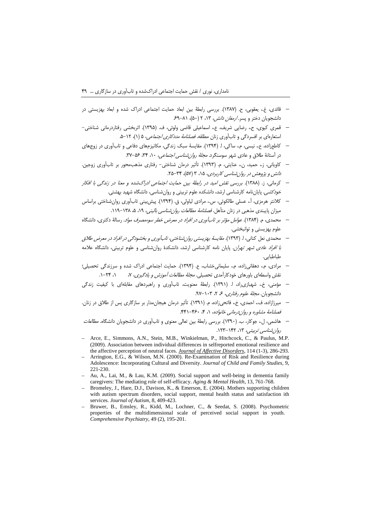- قائدي، غ.، يعقوبي، ح. (١٣٨٧). بررسي رابطةً بين ابعاد حمايت اجتماعي ادراك شده و ابعاد بهزيستي در دانشجویان دختر و پسر. *ارمغان دانش، ۱۳، ۲ (۵۰)، ۸۱–۶۹*
- قمری کیوی، ح.، رضایی شریف، ع.، اسماعیلی قاضی ولوئی، ف. (۱۳۹۵). اثربخشی رفتاردرمانی شناختی– استعارهای بر افسردگی و تابآوری زنان مطلقه. *فصلنامهٔ مددکاری اجتماعی*، ۵ (۱)، ۱۲–۵.
- کاطع;اده، ع.، نیسی، م.، ساکی، ا. (۱۳۹۴). مقایسهٔ سبک زندگی، مکانیزمهای دفاعی و تابآوری در زوجهای در آستانهٔ طلاق و عادی شهر سوسنگرد. *مجلهٔ روان شناسی اجتماعی، ۱۰، ۳۴، ۵۶-*۳۲.
- کاویانی، ز.، حمید، ن.، عنایتی، م. (۱۳۹۳). تأثیر درمان شناختی- رفتاری مذهب،محور بر تابآوری زوجین. دانش و پژوهش در روان شناسی کاربردی، ۱۵، ۳ (۵۷)، ۳۴–۲۵.
- کرمانی، ز. (۱۳۸۸). بور*سی نقش امید در رابطهٔ بین حمایت اجتماعی ادراکشده و معنا در زندگی با افکار* .<br>*خودکشی.* پایانِنامه کارشناسی ارشد، دانشکده علوم تربیتی و روانِشناسی، دانشگاه شهید بهشتی.
- كلانتر هرمزي، آ.، عسلي طالكوئي، س.، مرادي لياولي، ق. (١٣٩۴). پيش بيني تابآوري روان شناختي براساس  $\sim$ میزان پایبندی مذهبی در زنان متأهل. *فصلنامهٔ مطالعات روان شناسی بالینی، ۱۹*. ۵، ۱۳۸–۱۱۹.
- محمدی، م. (۱۳۸۴). *عوامل مؤثر بر تابآوری در افراد در معرض خطر سوءمصرف مواد*. رسالهٔ دکتری، دانشگاه علوم بهزيستي و توانبخشي.
- محمدی نعل کنانی، ا. (۱۳۹۳). *مقایسهٔ بهزیستی روان شناختی، تاب آوری و بخشودگی در افراد در معرض طلاق* ب*ا افراد عادی شهر تهران*. پایان نامه کارشناسی ارشد، دانشکدهٔ روانشناسی و علوم تربیتی، دانشگاه علامه طباطبايي.
- مرادی، م.، دهقانی;اده، م.، سلیمانی خشاب، ع. (۱۳۹۴). حمایت اجتماعی ادراک شده و سرزندگی تحصیلی؛  $(1, 77 - 1)$ نقش واسطهای باورهای خودکارآمدی تحصیلی. *مجلهٔ مطالعات آموزش و یادگیری*، ۷،
- مؤمنی، خ.، شهبازیراد، ا. (۱۳۹۱). رابطهٔ معنویت، تابآوری و راهبردهای مقابلهای با کیفیت زندگی دانشجویان. *مجلهٔ علوم رفتاری، ۶، ۲*۰۲–۹۷.
- میرزازاده، ف.، احمدی، خ.، فاتحیزاده، م. (١٣٩١). تأثیر درمان هیجان مدار بر سازگاری پس از طلاق در زنان. فصلنامهٔ مشاوره و روان درمانی خانواده، ۱، ۴، ۴۶۰–۴۴۱.
- هاشمی، ل.، جوکار، ب. (۱۳۹۰). بررسی رابطهٔ بین تعالی معنوی و تابآوری در دانشجویان دانشگاه. *مطالعات* روان شناسی تربیتی، ۱۳، ۱۴۲-۱۲۳.
- Arce, E., Simmons, A.N., Stein, M.B., Winkielman, P., Hitchcock, C., & Paulus, M.P. (2009). Association between individual differences in selfreported emotional resilience and the affective perception of neutral faces. Journal of Affective Disorders, 114 (1-3), 286-293.
- Arrington, E.G., & Wilson, M.N. (2000). Re-Examination of Risk and Resilience during Adolescence: Incorporating Cultural and Diversity. Journal of Child and Family Studies, 9, 221-230
- $-$  Au, A., Lai, M., & Lau, K.M. (2009). Social support and well-being in dementia family caregivers: The mediating role of self-efficacy. Aging & Mental Health, 13, 761-768.
- Bromeley, J., Hare, D.J., Davison, K., & Emerson, E. (2004). Mothers supporting children with autism spectrum disorders, social support, mental health status and satisfaction ith services. Journal of Autism, 8, 409-423.
- Bruwer, B., Emsley, R., Kidd, M., Lochner, C., & Seedat, S. (2008). Psychometric properties of the multidimensional scale of perceived social support in youth. Comprehensive Psychiatry, 49 (2), 195-201.